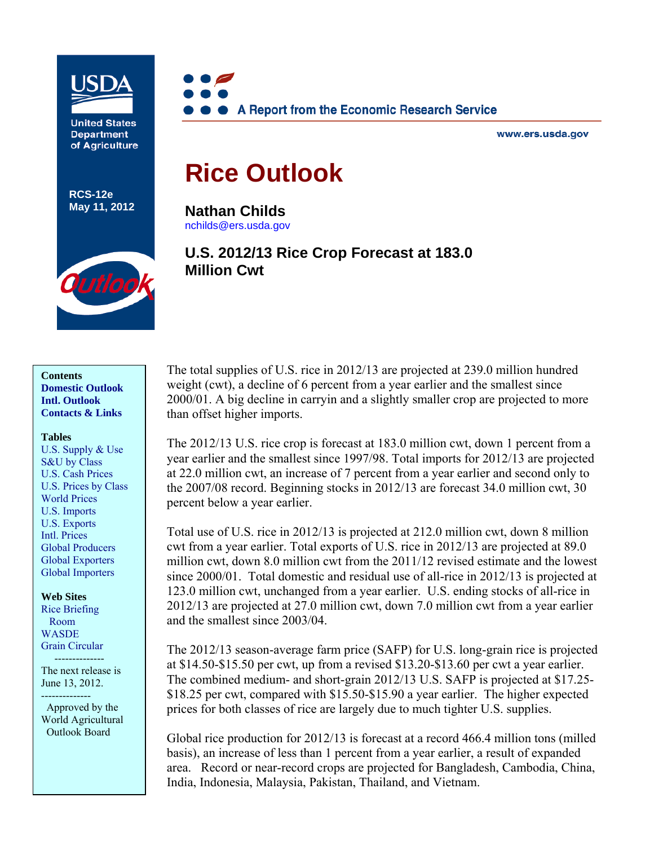

**United States Department** of Agriculture

**RCS-12e May 11, 2012**



www.ers.usda.gov

# **Rice Outlook**

**Nathan Childs**  [nchilds@ers.usda.gov](mailto:nchilds@ers.usda.gov) 

# **U.S. 2012/13 Rice Crop Forecast at 183.0 Million Cwt**



**Contents [Domestic Outlook](#page-2-0)  [Intl. Outlook](#page-12-0)  [Contacts & Links](#page-20-0)** 

#### **Tables**

[U.S. Supply & Use](#page-21-0)  [S&U by Class](#page-22-0)  [U.S. Cash Prices](#page-23-0)  [U.S. Prices by Class](#page-24-0)  [World Prices](#page-25-0)  [U.S. Imports](#page-26-0)  [U.S. Exports](#page-27-0)  [Intl. Prices](#page-28-0)  [Global Producers](#page-29-0)  [Global Exporters](#page-30-0) [Global Importers](#page-31-0) 

**Web Sites**  [Rice Briefing](http://www.ers.usda.gov/Briefing/Rice/)  Room [WASDE](http://usda.mannlib.cornell.edu/MannUsda/viewDocumentInfo.do?documentID=1194)  [Grain Circular](http://www.fas.usda.gov/grain_arc.asp) 

The next release is June 13, 2012.

--------------

--------------

 Approved by the World Agricultural Outlook Board

The total supplies of U.S. rice in 2012/13 are projected at 239.0 million hundred weight (cwt), a decline of 6 percent from a year earlier and the smallest since 2000/01. A big decline in carryin and a slightly smaller crop are projected to more than offset higher imports.

The 2012/13 U.S. rice crop is forecast at 183.0 million cwt, down 1 percent from a year earlier and the smallest since 1997/98. Total imports for 2012/13 are projected at 22.0 million cwt, an increase of 7 percent from a year earlier and second only to the 2007/08 record. Beginning stocks in 2012/13 are forecast 34.0 million cwt, 30 percent below a year earlier.

Total use of U.S. rice in 2012/13 is projected at 212.0 million cwt, down 8 million cwt from a year earlier. Total exports of U.S. rice in 2012/13 are projected at 89.0 million cwt, down 8.0 million cwt from the 2011/12 revised estimate and the lowest since 2000/01. Total domestic and residual use of all-rice in 2012/13 is projected at 123.0 million cwt, unchanged from a year earlier. U.S. ending stocks of all-rice in 2012/13 are projected at 27.0 million cwt, down 7.0 million cwt from a year earlier and the smallest since 2003/04.

The 2012/13 season-average farm price (SAFP) for U.S. long-grain rice is projected at \$14.50-\$15.50 per cwt, up from a revised \$13.20-\$13.60 per cwt a year earlier. The combined medium- and short-grain 2012/13 U.S. SAFP is projected at \$17.25- \$18.25 per cwt, compared with \$15.50-\$15.90 a year earlier. The higher expected prices for both classes of rice are largely due to much tighter U.S. supplies.

Global rice production for 2012/13 is forecast at a record 466.4 million tons (milled basis), an increase of less than 1 percent from a year earlier, a result of expanded area. Record or near-record crops are projected for Bangladesh, Cambodia, China, India, Indonesia, Malaysia, Pakistan, Thailand, and Vietnam.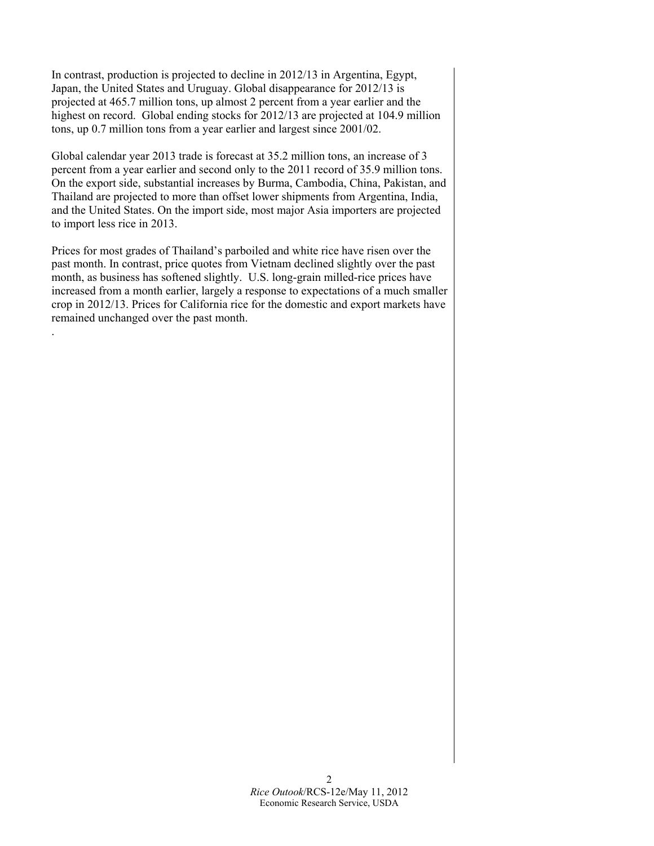In contrast, production is projected to decline in 2012/13 in Argentina, Egypt, Japan, the United States and Uruguay. Global disappearance for 2012/13 is projected at 465.7 million tons, up almost 2 percent from a year earlier and the highest on record. Global ending stocks for 2012/13 are projected at 104.9 million tons, up 0.7 million tons from a year earlier and largest since 2001/02.

Global calendar year 2013 trade is forecast at 35.2 million tons, an increase of 3 percent from a year earlier and second only to the 2011 record of 35.9 million tons. On the export side, substantial increases by Burma, Cambodia, China, Pakistan, and Thailand are projected to more than offset lower shipments from Argentina, India, and the United States. On the import side, most major Asia importers are projected to import less rice in 2013.

Prices for most grades of Thailand's parboiled and white rice have risen over the past month. In contrast, price quotes from Vietnam declined slightly over the past month, as business has softened slightly. U.S. long-grain milled-rice prices have increased from a month earlier, largely a response to expectations of a much smaller crop in 2012/13. Prices for California rice for the domestic and export markets have remained unchanged over the past month.

.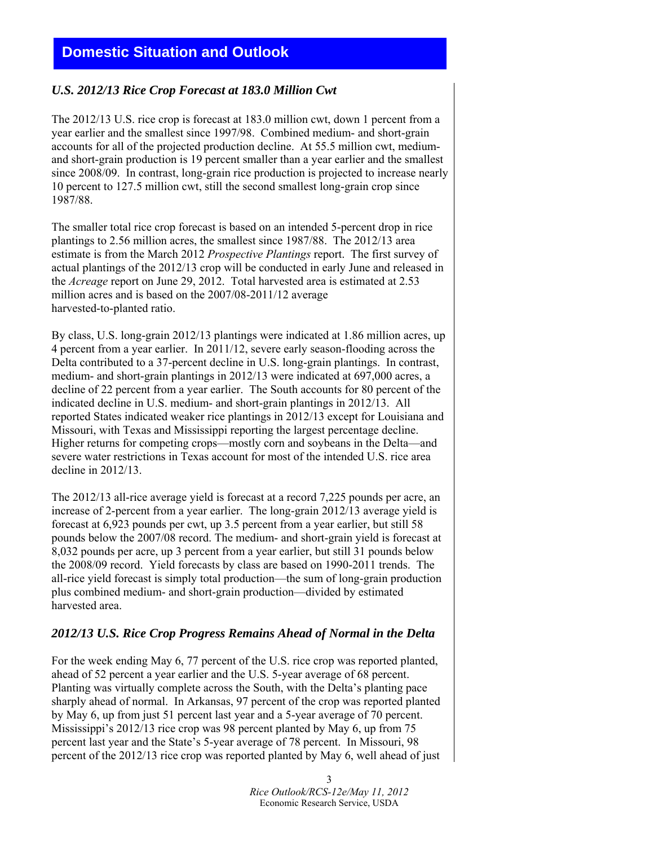# <span id="page-2-0"></span>**Domestic Situation and Outlook**

## *U.S. 2012/13 Rice Crop Forecast at 183.0 Million Cwt*

The 2012/13 U.S. rice crop is forecast at 183.0 million cwt, down 1 percent from a year earlier and the smallest since 1997/98. Combined medium- and short-grain accounts for all of the projected production decline. At 55.5 million cwt, mediumand short-grain production is 19 percent smaller than a year earlier and the smallest since 2008/09. In contrast, long-grain rice production is projected to increase nearly 10 percent to 127.5 million cwt, still the second smallest long-grain crop since 1987/88.

The smaller total rice crop forecast is based on an intended 5-percent drop in rice plantings to 2.56 million acres, the smallest since 1987/88. The 2012/13 area estimate is from the March 2012 *Prospective Plantings* report. The first survey of actual plantings of the 2012/13 crop will be conducted in early June and released in the *Acreage* report on June 29, 2012. Total harvested area is estimated at 2.53 million acres and is based on the 2007/08-2011/12 average harvested-to-planted ratio.

By class, U.S. long-grain 2012/13 plantings were indicated at 1.86 million acres, up 4 percent from a year earlier. In 2011/12, severe early season-flooding across the Delta contributed to a 37-percent decline in U.S. long-grain plantings. In contrast, medium- and short-grain plantings in 2012/13 were indicated at 697,000 acres, a decline of 22 percent from a year earlier. The South accounts for 80 percent of the indicated decline in U.S. medium- and short-grain plantings in 2012/13. All reported States indicated weaker rice plantings in 2012/13 except for Louisiana and Missouri, with Texas and Mississippi reporting the largest percentage decline. Higher returns for competing crops—mostly corn and soybeans in the Delta—and severe water restrictions in Texas account for most of the intended U.S. rice area decline in 2012/13.

The 2012/13 all-rice average yield is forecast at a record 7,225 pounds per acre, an increase of 2-percent from a year earlier. The long-grain 2012/13 average yield is forecast at 6,923 pounds per cwt, up 3.5 percent from a year earlier, but still 58 pounds below the 2007/08 record. The medium- and short-grain yield is forecast at 8,032 pounds per acre, up 3 percent from a year earlier, but still 31 pounds below the 2008/09 record. Yield forecasts by class are based on 1990-2011 trends. The all-rice yield forecast is simply total production—the sum of long-grain production plus combined medium- and short-grain production—divided by estimated harvested area.

## *2012/13 U.S. Rice Crop Progress Remains Ahead of Normal in the Delta*

For the week ending May 6, 77 percent of the U.S. rice crop was reported planted, ahead of 52 percent a year earlier and the U.S. 5-year average of 68 percent. Planting was virtually complete across the South, with the Delta's planting pace sharply ahead of normal. In Arkansas, 97 percent of the crop was reported planted by May 6, up from just 51 percent last year and a 5-year average of 70 percent. Mississippi's 2012/13 rice crop was 98 percent planted by May 6, up from 75 percent last year and the State's 5-year average of 78 percent. In Missouri, 98 percent of the 2012/13 rice crop was reported planted by May 6, well ahead of just

> 3 *Rice Outlook/RCS-12e/May 11, 2012* Economic Research Service, USDA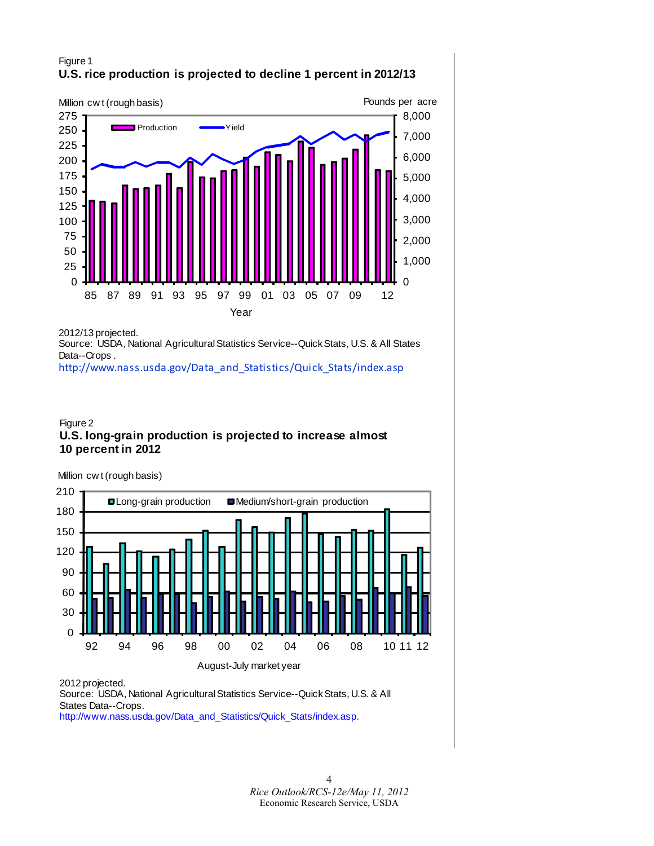## Figure 1 **U.S. rice production is projected to decline 1 percent in 2012/13**



2012/13 projected.

Source: USDA, National Agricultural Statistics Service--Quick Stats, U.S. & All States Data--Crops .

[http://www.nass.usda.gov/Data\\_and\\_Statistics/Quick\\_Stats/index.asp](http://www.nass.usda.gov/Data_and_Statistics/Quick_Stats/index.asp)

#### Figure 2 **U.S. long-grain production is projected to increase almost 10 percent in 2012**

Million cw t (rough basis)



2012 projected.

Source: USDA, National Agricultural Statistics Service--Quick Stats, U.S. & All States Data--Crops.

[http://www.nass.usda.gov/Data\\_and\\_Statistics/Quick\\_Stats/index.asp.](http://www.nass.usda.gov/Data_and_Statistics/Quick_Stats/index.asp)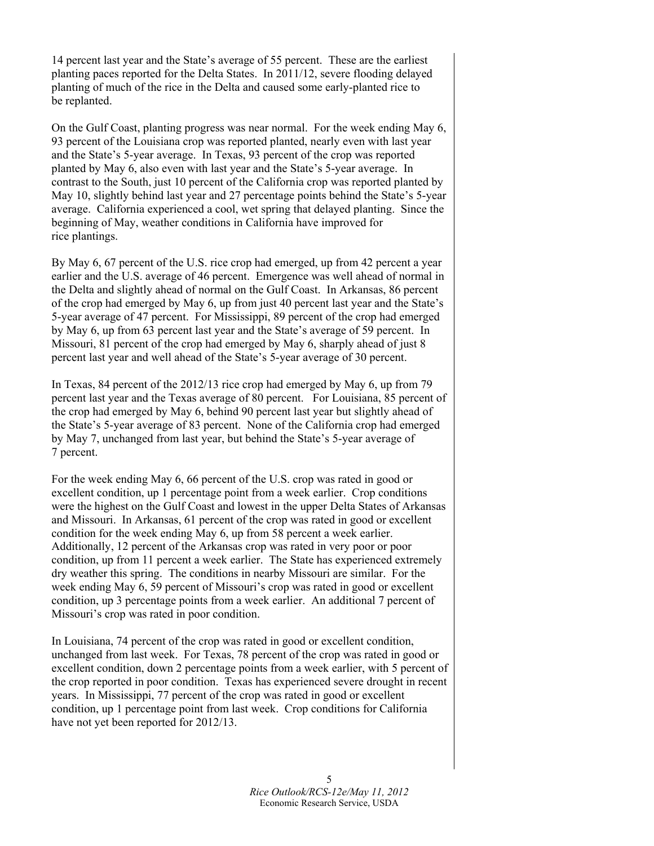14 percent last year and the State's average of 55 percent. These are the earliest planting paces reported for the Delta States. In 2011/12, severe flooding delayed planting of much of the rice in the Delta and caused some early-planted rice to be replanted.

On the Gulf Coast, planting progress was near normal. For the week ending May 6, 93 percent of the Louisiana crop was reported planted, nearly even with last year and the State's 5-year average. In Texas, 93 percent of the crop was reported planted by May 6, also even with last year and the State's 5-year average. In contrast to the South, just 10 percent of the California crop was reported planted by May 10, slightly behind last year and 27 percentage points behind the State's 5-year average. California experienced a cool, wet spring that delayed planting. Since the beginning of May, weather conditions in California have improved for rice plantings.

By May 6, 67 percent of the U.S. rice crop had emerged, up from 42 percent a year earlier and the U.S. average of 46 percent. Emergence was well ahead of normal in the Delta and slightly ahead of normal on the Gulf Coast. In Arkansas, 86 percent of the crop had emerged by May 6, up from just 40 percent last year and the State's 5-year average of 47 percent. For Mississippi, 89 percent of the crop had emerged by May 6, up from 63 percent last year and the State's average of 59 percent. In Missouri, 81 percent of the crop had emerged by May 6, sharply ahead of just 8 percent last year and well ahead of the State's 5-year average of 30 percent.

In Texas, 84 percent of the 2012/13 rice crop had emerged by May 6, up from 79 percent last year and the Texas average of 80 percent. For Louisiana, 85 percent of the crop had emerged by May 6, behind 90 percent last year but slightly ahead of the State's 5-year average of 83 percent. None of the California crop had emerged by May 7, unchanged from last year, but behind the State's 5-year average of 7 percent.

For the week ending May 6, 66 percent of the U.S. crop was rated in good or excellent condition, up 1 percentage point from a week earlier. Crop conditions were the highest on the Gulf Coast and lowest in the upper Delta States of Arkansas and Missouri. In Arkansas, 61 percent of the crop was rated in good or excellent condition for the week ending May 6, up from 58 percent a week earlier. Additionally, 12 percent of the Arkansas crop was rated in very poor or poor condition, up from 11 percent a week earlier. The State has experienced extremely dry weather this spring. The conditions in nearby Missouri are similar. For the week ending May 6, 59 percent of Missouri's crop was rated in good or excellent condition, up 3 percentage points from a week earlier. An additional 7 percent of Missouri's crop was rated in poor condition.

In Louisiana, 74 percent of the crop was rated in good or excellent condition, unchanged from last week. For Texas, 78 percent of the crop was rated in good or excellent condition, down 2 percentage points from a week earlier, with 5 percent of the crop reported in poor condition. Texas has experienced severe drought in recent years. In Mississippi, 77 percent of the crop was rated in good or excellent condition, up 1 percentage point from last week. Crop conditions for California have not yet been reported for 2012/13.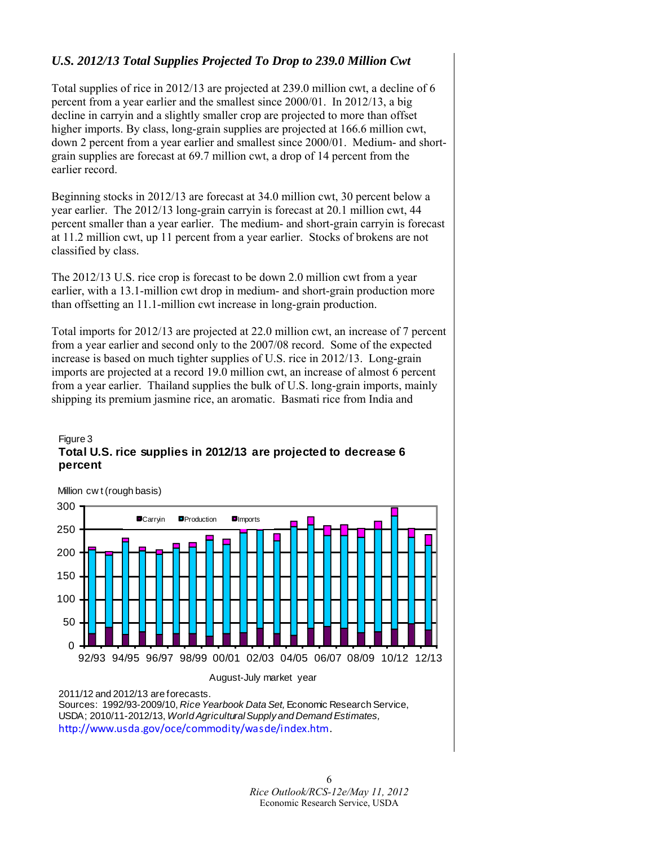## *U.S. 2012/13 Total Supplies Projected To Drop to 239.0 Million Cwt*

Total supplies of rice in 2012/13 are projected at 239.0 million cwt, a decline of 6 percent from a year earlier and the smallest since 2000/01. In 2012/13, a big decline in carryin and a slightly smaller crop are projected to more than offset higher imports. By class, long-grain supplies are projected at 166.6 million cwt, down 2 percent from a year earlier and smallest since 2000/01. Medium- and shortgrain supplies are forecast at 69.7 million cwt, a drop of 14 percent from the earlier record.

Beginning stocks in 2012/13 are forecast at 34.0 million cwt, 30 percent below a year earlier. The 2012/13 long-grain carryin is forecast at 20.1 million cwt, 44 percent smaller than a year earlier. The medium- and short-grain carryin is forecast at 11.2 million cwt, up 11 percent from a year earlier. Stocks of brokens are not classified by class.

The 2012/13 U.S. rice crop is forecast to be down 2.0 million cwt from a year earlier, with a 13.1-million cwt drop in medium- and short-grain production more than offsetting an 11.1-million cwt increase in long-grain production.

Total imports for 2012/13 are projected at 22.0 million cwt, an increase of 7 percent from a year earlier and second only to the 2007/08 record. Some of the expected increase is based on much tighter supplies of U.S. rice in 2012/13. Long-grain imports are projected at a record 19.0 million cwt, an increase of almost 6 percent from a year earlier. Thailand supplies the bulk of U.S. long-grain imports, mainly shipping its premium jasmine rice, an aromatic. Basmati rice from India and

#### Figure 3 **Total U.S. rice supplies in 2012/13 are projected to decrease 6 percent**



<sup>2011/12</sup> and 2012/13 are forecasts.

Sources: 1992/93-2009/10, *Rice Yearbook Data Set,* Economic Research Service, USDA; 2010/11-2012/13, *World Agricultural Supply and Demand Estimates,*  <http://www.usda.gov/oce/commodity/wasde/index.htm>.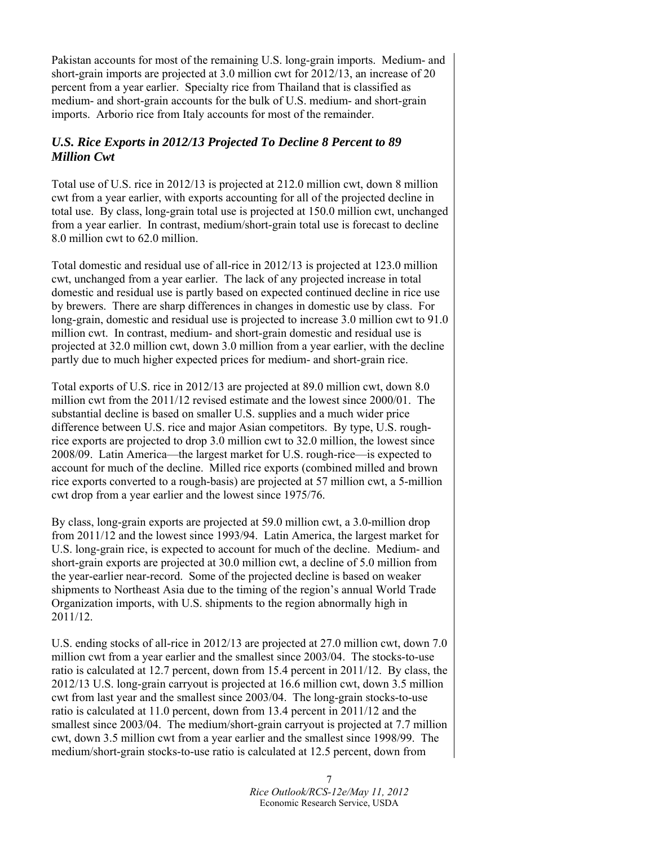Pakistan accounts for most of the remaining U.S. long-grain imports. Medium- and short-grain imports are projected at 3.0 million cwt for 2012/13, an increase of 20 percent from a year earlier. Specialty rice from Thailand that is classified as medium- and short-grain accounts for the bulk of U.S. medium- and short-grain imports. Arborio rice from Italy accounts for most of the remainder.

## *U.S. Rice Exports in 2012/13 Projected To Decline 8 Percent to 89 Million Cwt*

Total use of U.S. rice in 2012/13 is projected at 212.0 million cwt, down 8 million cwt from a year earlier, with exports accounting for all of the projected decline in total use. By class, long-grain total use is projected at 150.0 million cwt, unchanged from a year earlier. In contrast, medium/short-grain total use is forecast to decline 8.0 million cwt to 62.0 million.

Total domestic and residual use of all-rice in 2012/13 is projected at 123.0 million cwt, unchanged from a year earlier. The lack of any projected increase in total domestic and residual use is partly based on expected continued decline in rice use by brewers. There are sharp differences in changes in domestic use by class. For long-grain, domestic and residual use is projected to increase 3.0 million cwt to 91.0 million cwt. In contrast, medium- and short-grain domestic and residual use is projected at 32.0 million cwt, down 3.0 million from a year earlier, with the decline partly due to much higher expected prices for medium- and short-grain rice.

Total exports of U.S. rice in 2012/13 are projected at 89.0 million cwt, down 8.0 million cwt from the 2011/12 revised estimate and the lowest since 2000/01. The substantial decline is based on smaller U.S. supplies and a much wider price difference between U.S. rice and major Asian competitors. By type, U.S. roughrice exports are projected to drop 3.0 million cwt to 32.0 million, the lowest since 2008/09. Latin America—the largest market for U.S. rough-rice—is expected to account for much of the decline. Milled rice exports (combined milled and brown rice exports converted to a rough-basis) are projected at 57 million cwt, a 5-million cwt drop from a year earlier and the lowest since 1975/76.

By class, long-grain exports are projected at 59.0 million cwt, a 3.0-million drop from 2011/12 and the lowest since 1993/94. Latin America, the largest market for U.S. long-grain rice, is expected to account for much of the decline. Medium- and short-grain exports are projected at 30.0 million cwt, a decline of 5.0 million from the year-earlier near-record. Some of the projected decline is based on weaker shipments to Northeast Asia due to the timing of the region's annual World Trade Organization imports, with U.S. shipments to the region abnormally high in 2011/12.

U.S. ending stocks of all-rice in 2012/13 are projected at 27.0 million cwt, down 7.0 million cwt from a year earlier and the smallest since 2003/04. The stocks-to-use ratio is calculated at 12.7 percent, down from 15.4 percent in 2011/12. By class, the 2012/13 U.S. long-grain carryout is projected at 16.6 million cwt, down 3.5 million cwt from last year and the smallest since 2003/04. The long-grain stocks-to-use ratio is calculated at 11.0 percent, down from 13.4 percent in 2011/12 and the smallest since 2003/04. The medium/short-grain carryout is projected at 7.7 million cwt, down 3.5 million cwt from a year earlier and the smallest since 1998/99. The medium/short-grain stocks-to-use ratio is calculated at 12.5 percent, down from

> 7 *Rice Outlook/RCS-12e/May 11, 2012* Economic Research Service, USDA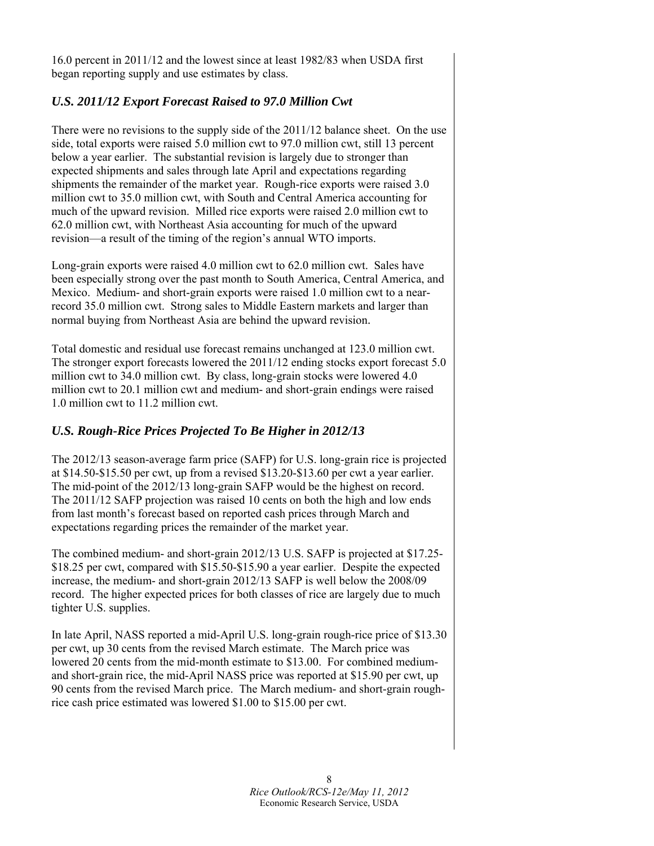16.0 percent in 2011/12 and the lowest since at least 1982/83 when USDA first began reporting supply and use estimates by class.

## *U.S. 2011/12 Export Forecast Raised to 97.0 Million Cwt*

There were no revisions to the supply side of the 2011/12 balance sheet. On the use side, total exports were raised 5.0 million cwt to 97.0 million cwt, still 13 percent below a year earlier. The substantial revision is largely due to stronger than expected shipments and sales through late April and expectations regarding shipments the remainder of the market year. Rough-rice exports were raised 3.0 million cwt to 35.0 million cwt, with South and Central America accounting for much of the upward revision. Milled rice exports were raised 2.0 million cwt to 62.0 million cwt, with Northeast Asia accounting for much of the upward revision—a result of the timing of the region's annual WTO imports.

Long-grain exports were raised 4.0 million cwt to 62.0 million cwt. Sales have been especially strong over the past month to South America, Central America, and Mexico. Medium- and short-grain exports were raised 1.0 million cwt to a nearrecord 35.0 million cwt. Strong sales to Middle Eastern markets and larger than normal buying from Northeast Asia are behind the upward revision.

Total domestic and residual use forecast remains unchanged at 123.0 million cwt. The stronger export forecasts lowered the 2011/12 ending stocks export forecast 5.0 million cwt to 34.0 million cwt. By class, long-grain stocks were lowered 4.0 million cwt to 20.1 million cwt and medium- and short-grain endings were raised 1.0 million cwt to 11.2 million cwt.

## *U.S. Rough-Rice Prices Projected To Be Higher in 2012/13*

The 2012/13 season-average farm price (SAFP) for U.S. long-grain rice is projected at \$14.50-\$15.50 per cwt, up from a revised \$13.20-\$13.60 per cwt a year earlier. The mid-point of the 2012/13 long-grain SAFP would be the highest on record. The 2011/12 SAFP projection was raised 10 cents on both the high and low ends from last month's forecast based on reported cash prices through March and expectations regarding prices the remainder of the market year.

The combined medium- and short-grain 2012/13 U.S. SAFP is projected at \$17.25- \$18.25 per cwt, compared with \$15.50-\$15.90 a year earlier. Despite the expected increase, the medium- and short-grain 2012/13 SAFP is well below the 2008/09 record. The higher expected prices for both classes of rice are largely due to much tighter U.S. supplies.

In late April, NASS reported a mid-April U.S. long-grain rough-rice price of \$13.30 per cwt, up 30 cents from the revised March estimate. The March price was lowered 20 cents from the mid-month estimate to \$13.00. For combined mediumand short-grain rice, the mid-April NASS price was reported at \$15.90 per cwt, up 90 cents from the revised March price. The March medium- and short-grain roughrice cash price estimated was lowered \$1.00 to \$15.00 per cwt.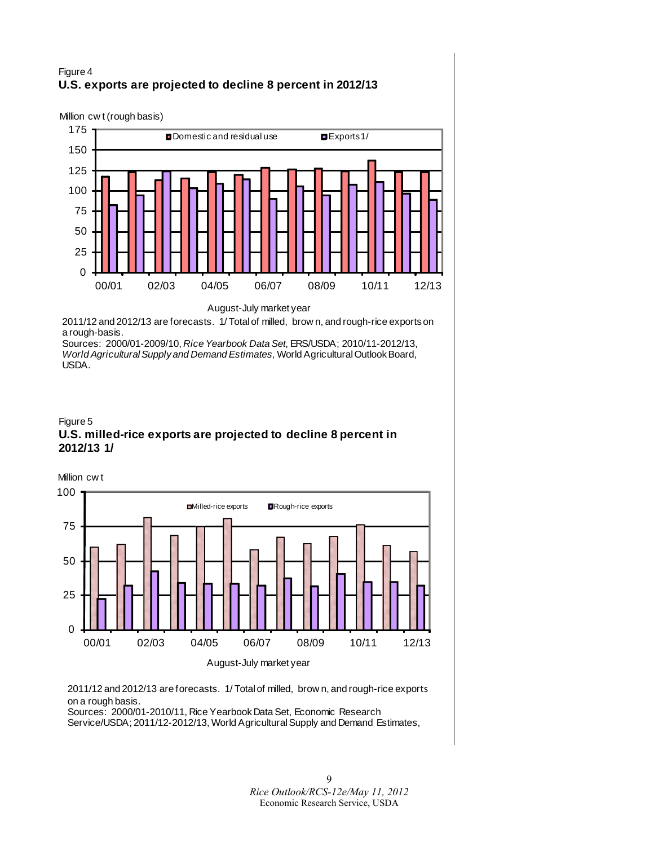## Figure 4 **U.S. exports are projected to decline 8 percent in 2012/13**

Million cw t (rough basis)



August-July market year

2011/12 and 2012/13 are forecasts. 1/ Total of milled, brow n, and rough-rice exports on a rough-basis.

Sources: 2000/01-2009/10, *Rice Yearbook Data Set,* ERS/USDA; 2010/11-2012/13, *World Agricultural Supply and Demand Estimates,* World Agricultural Outlook Board, USDA.





2011/12 and 2012/13 are forecasts. 1/ Total of milled, brow n, and rough-rice exports on a rough basis.

Sources: 2000/01-2010/11, Rice Yearbook Data Set, Economic Research Service/USDA; 2011/12-2012/13, World Agricultural Supply and Demand Estimates,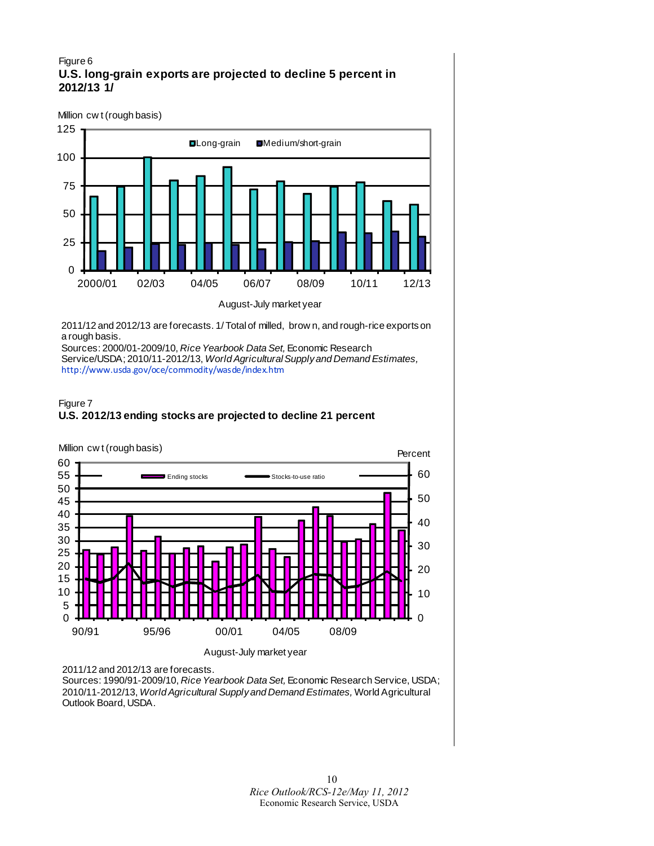#### Figure 6 **U.S. long-grain exports are projected to decline 5 percent in 2012/13 1/**

Million cw t (rough basis)



2011/12 and 2012/13 are forecasts. 1/ Total of milled, brow n, and rough-rice exports on a rough basis.

Sources: 2000/01-2009/10, *Rice Yearbook Data Set,* Economic Research Service/USDA; 2010/11-2012/13, *World Agricultural Supply and Demand Estimates,*  <http://www.usda.gov/oce/commodity/wasde/index.htm>





2011/12 and 2012/13 are forecasts.

Sources: 1990/91-2009/10, *Rice Yearbook Data Set,* Economic Research Service, USDA; 2010/11-2012/13, *World Agricultural Supply and Demand Estimates,* World Agricultural Outlook Board, USDA.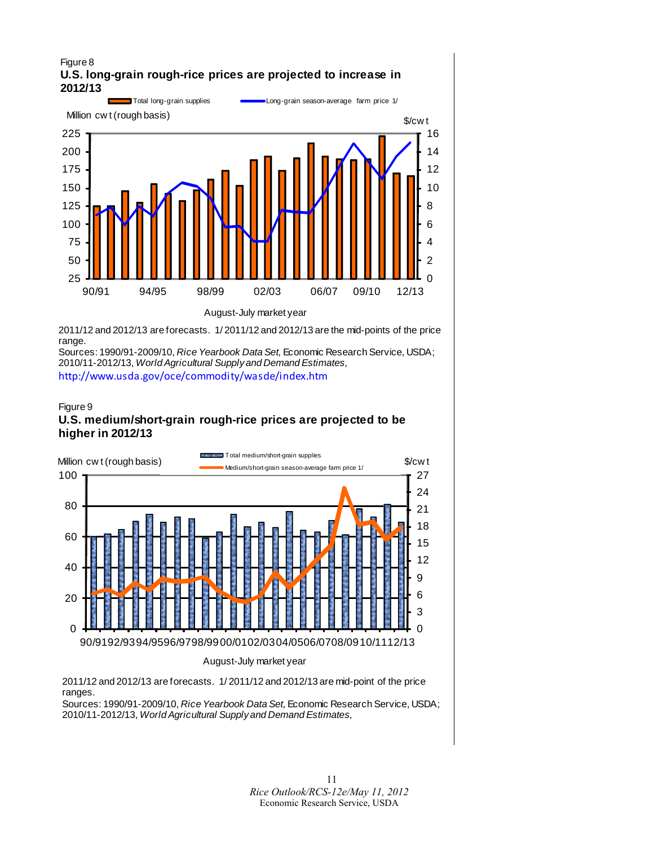#### Figure 8 **U.S. long-grain rough-rice prices are projected to increase in 2012/13**



2011/12 and 2012/13 are forecasts. 1/ 2011/12 and 2012/13 are the mid-points of the price range.

Sources: 1990/91-2009/10, *Rice Yearbook Data Set,* Economic Research Service, USDA; 2010/11-2012/13, *World Agricultural Supply and Demand Estimates,*  <http://www.usda.gov/oce/commodity/wasde/index.htm>

#### Figure 9 **U.S. medium/short-grain rough-rice prices are projected to be higher in 2012/13**



2011/12 and 2012/13 are forecasts. 1/ 2011/12 and 2012/13 are mid-point of the price ranges.

Sources: 1990/91-2009/10, *Rice Yearbook Data Set,* Economic Research Service, USDA; 2010/11-2012/13, *World Agricultural Supply and Demand Estimates,*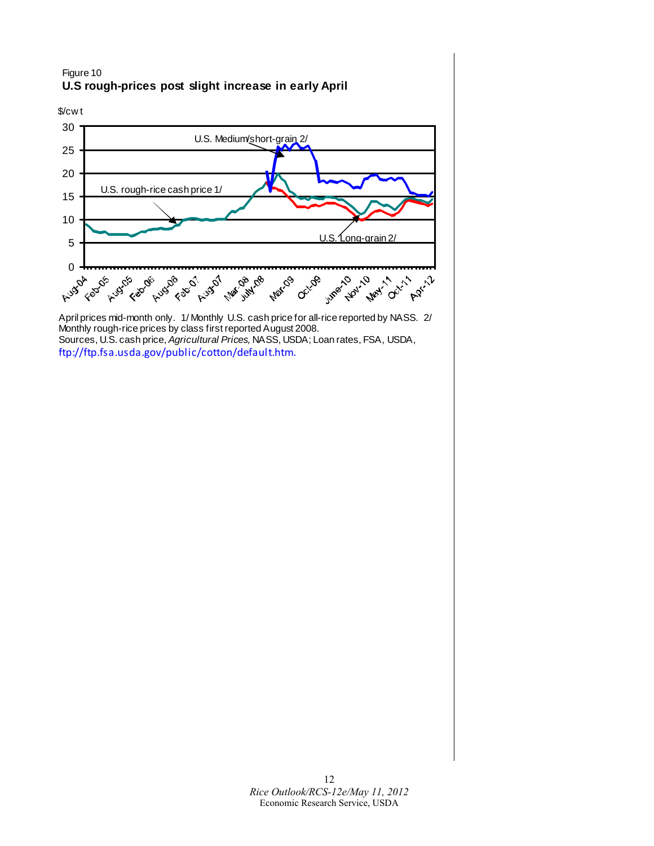## Figure 10 **U.S rough-prices post slight increase in early April**



April prices mid-month only. 1/ Monthly U.S. cash price for all-rice reported by NASS. 2/ Monthly rough-rice prices by class first reported August 2008. Sources, U.S. cash price, *Agricultural Prices,* NASS, USDA; Loan rates, FSA, USDA, [ftp://ftp.fsa.usda.gov/public/cotton/default.htm.](ftp://ftp.fsa.usda.gov/public/cotton/default.htm)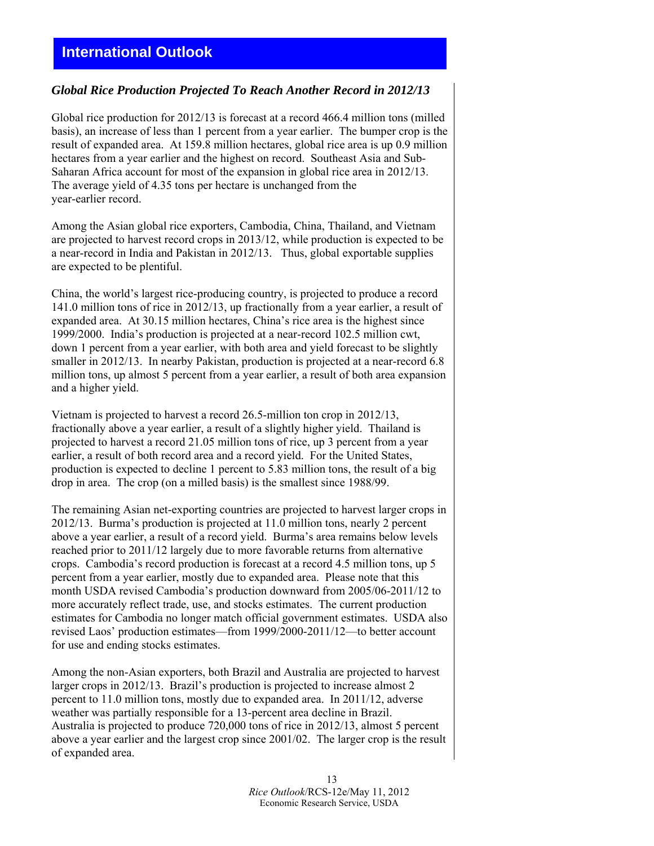## <span id="page-12-0"></span>**International Outlook**

#### *Global Rice Production Projected To Reach Another Record in 2012/13*

Global rice production for 2012/13 is forecast at a record 466.4 million tons (milled basis), an increase of less than 1 percent from a year earlier. The bumper crop is the result of expanded area. At 159.8 million hectares, global rice area is up 0.9 million hectares from a year earlier and the highest on record. Southeast Asia and Sub-Saharan Africa account for most of the expansion in global rice area in 2012/13. The average yield of 4.35 tons per hectare is unchanged from the year-earlier record.

Among the Asian global rice exporters, Cambodia, China, Thailand, and Vietnam are projected to harvest record crops in 2013/12, while production is expected to be a near-record in India and Pakistan in 2012/13. Thus, global exportable supplies are expected to be plentiful.

China, the world's largest rice-producing country, is projected to produce a record 141.0 million tons of rice in 2012/13, up fractionally from a year earlier, a result of expanded area. At 30.15 million hectares, China's rice area is the highest since 1999/2000. India's production is projected at a near-record 102.5 million cwt, down 1 percent from a year earlier, with both area and yield forecast to be slightly smaller in 2012/13. In nearby Pakistan, production is projected at a near-record 6.8 million tons, up almost 5 percent from a year earlier, a result of both area expansion and a higher yield.

Vietnam is projected to harvest a record 26.5-million ton crop in 2012/13, fractionally above a year earlier, a result of a slightly higher yield. Thailand is projected to harvest a record 21.05 million tons of rice, up 3 percent from a year earlier, a result of both record area and a record yield. For the United States, production is expected to decline 1 percent to 5.83 million tons, the result of a big drop in area. The crop (on a milled basis) is the smallest since 1988/99.

The remaining Asian net-exporting countries are projected to harvest larger crops in 2012/13. Burma's production is projected at 11.0 million tons, nearly 2 percent above a year earlier, a result of a record yield. Burma's area remains below levels reached prior to 2011/12 largely due to more favorable returns from alternative crops. Cambodia's record production is forecast at a record 4.5 million tons, up 5 percent from a year earlier, mostly due to expanded area. Please note that this month USDA revised Cambodia's production downward from 2005/06-2011/12 to more accurately reflect trade, use, and stocks estimates. The current production estimates for Cambodia no longer match official government estimates. USDA also revised Laos' production estimates—from 1999/2000-2011/12—to better account for use and ending stocks estimates.

Among the non-Asian exporters, both Brazil and Australia are projected to harvest larger crops in 2012/13. Brazil's production is projected to increase almost 2 percent to 11.0 million tons, mostly due to expanded area. In 2011/12, adverse weather was partially responsible for a 13-percent area decline in Brazil. Australia is projected to produce 720,000 tons of rice in 2012/13, almost 5 percent above a year earlier and the largest crop since 2001/02. The larger crop is the result of expanded area.

> 13 *Rice Outlook*/RCS-12e/May 11, 2012 Economic Research Service, USDA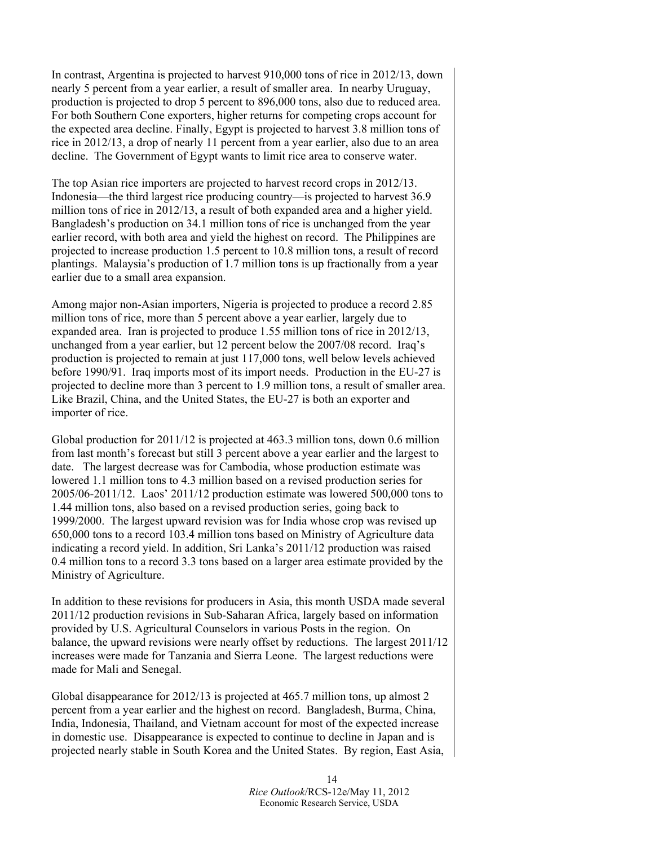In contrast, Argentina is projected to harvest 910,000 tons of rice in 2012/13, down nearly 5 percent from a year earlier, a result of smaller area. In nearby Uruguay, production is projected to drop 5 percent to 896,000 tons, also due to reduced area. For both Southern Cone exporters, higher returns for competing crops account for the expected area decline. Finally, Egypt is projected to harvest 3.8 million tons of rice in 2012/13, a drop of nearly 11 percent from a year earlier, also due to an area decline. The Government of Egypt wants to limit rice area to conserve water.

The top Asian rice importers are projected to harvest record crops in 2012/13. Indonesia—the third largest rice producing country—is projected to harvest 36.9 million tons of rice in 2012/13, a result of both expanded area and a higher yield. Bangladesh's production on 34.1 million tons of rice is unchanged from the year earlier record, with both area and yield the highest on record. The Philippines are projected to increase production 1.5 percent to 10.8 million tons, a result of record plantings. Malaysia's production of 1.7 million tons is up fractionally from a year earlier due to a small area expansion.

Among major non-Asian importers, Nigeria is projected to produce a record 2.85 million tons of rice, more than 5 percent above a year earlier, largely due to expanded area. Iran is projected to produce 1.55 million tons of rice in 2012/13, unchanged from a year earlier, but 12 percent below the 2007/08 record. Iraq's production is projected to remain at just 117,000 tons, well below levels achieved before 1990/91. Iraq imports most of its import needs. Production in the EU-27 is projected to decline more than 3 percent to 1.9 million tons, a result of smaller area. Like Brazil, China, and the United States, the EU-27 is both an exporter and importer of rice.

Global production for 2011/12 is projected at 463.3 million tons, down 0.6 million from last month's forecast but still 3 percent above a year earlier and the largest to date. The largest decrease was for Cambodia, whose production estimate was lowered 1.1 million tons to 4.3 million based on a revised production series for 2005/06-2011/12. Laos' 2011/12 production estimate was lowered 500,000 tons to 1.44 million tons, also based on a revised production series, going back to 1999/2000. The largest upward revision was for India whose crop was revised up 650,000 tons to a record 103.4 million tons based on Ministry of Agriculture data indicating a record yield. In addition, Sri Lanka's 2011/12 production was raised 0.4 million tons to a record 3.3 tons based on a larger area estimate provided by the Ministry of Agriculture.

In addition to these revisions for producers in Asia, this month USDA made several 2011/12 production revisions in Sub-Saharan Africa, largely based on information provided by U.S. Agricultural Counselors in various Posts in the region. On balance, the upward revisions were nearly offset by reductions. The largest 2011/12 increases were made for Tanzania and Sierra Leone. The largest reductions were made for Mali and Senegal.

Global disappearance for 2012/13 is projected at 465.7 million tons, up almost 2 percent from a year earlier and the highest on record. Bangladesh, Burma, China, India, Indonesia, Thailand, and Vietnam account for most of the expected increase in domestic use. Disappearance is expected to continue to decline in Japan and is projected nearly stable in South Korea and the United States. By region, East Asia,

> 14 *Rice Outlook*/RCS-12e/May 11, 2012 Economic Research Service, USDA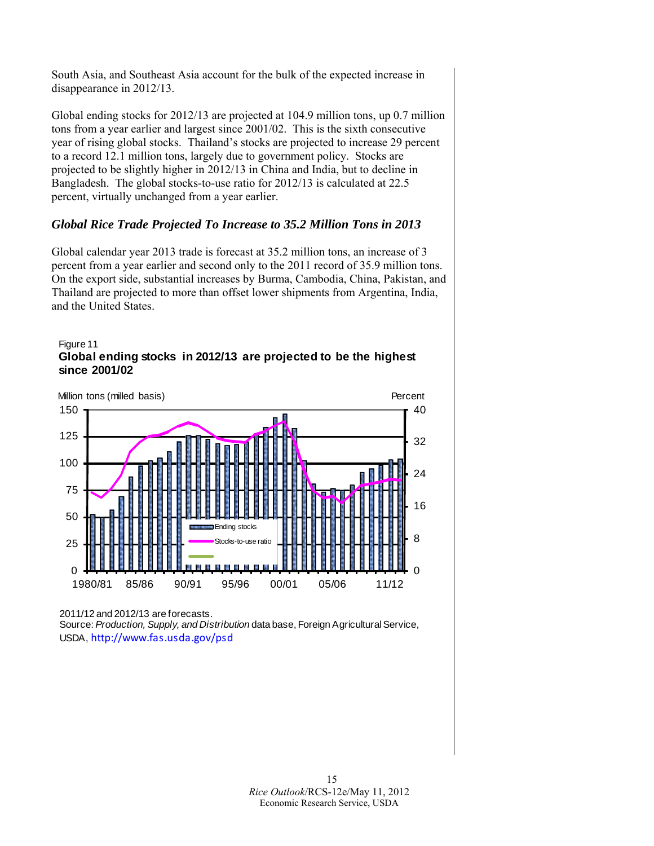South Asia, and Southeast Asia account for the bulk of the expected increase in disappearance in 2012/13.

Global ending stocks for 2012/13 are projected at 104.9 million tons, up 0.7 million tons from a year earlier and largest since 2001/02. This is the sixth consecutive year of rising global stocks. Thailand's stocks are projected to increase 29 percent to a record 12.1 million tons, largely due to government policy. Stocks are projected to be slightly higher in 2012/13 in China and India, but to decline in Bangladesh. The global stocks-to-use ratio for 2012/13 is calculated at 22.5 percent, virtually unchanged from a year earlier.

## *Global Rice Trade Projected To Increase to 35.2 Million Tons in 2013*

Global calendar year 2013 trade is forecast at 35.2 million tons, an increase of 3 percent from a year earlier and second only to the 2011 record of 35.9 million tons. On the export side, substantial increases by Burma, Cambodia, China, Pakistan, and Thailand are projected to more than offset lower shipments from Argentina, India, and the United States.





2011/12 and 2012/13 are forecasts.

Source: *Production, Supply, and Distribution* data base, Foreign Agricultural Service, USDA, [http://www.fas.usda.gov/psd](http://www.fas.usda.gov/psdonline)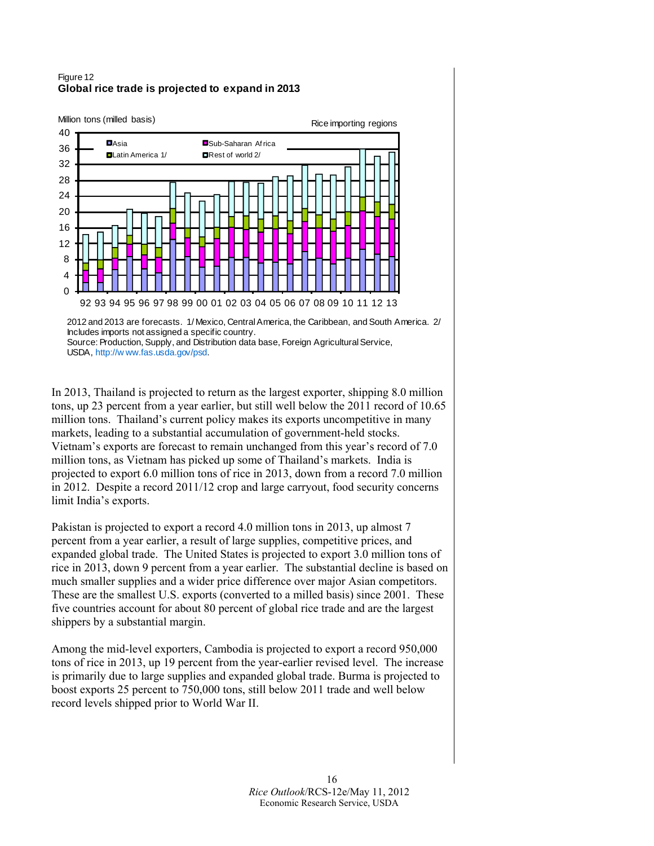#### Figure 12 **Global rice trade is projected to expand in 2013**



In 2013, Thailand is projected to return as the largest exporter, shipping 8.0 million tons, up 23 percent from a year earlier, but still well below the 2011 record of 10.65 million tons. Thailand's current policy makes its exports uncompetitive in many markets, leading to a substantial accumulation of government-held stocks. Vietnam's exports are forecast to remain unchanged from this year's record of 7.0 million tons, as Vietnam has picked up some of Thailand's markets. India is projected to export 6.0 million tons of rice in 2013, down from a record 7.0 million in 2012. Despite a record 2011/12 crop and large carryout, food security concerns limit India's exports.

Pakistan is projected to export a record 4.0 million tons in 2013, up almost 7 percent from a year earlier, a result of large supplies, competitive prices, and expanded global trade. The United States is projected to export 3.0 million tons of rice in 2013, down 9 percent from a year earlier. The substantial decline is based on much smaller supplies and a wider price difference over major Asian competitors. These are the smallest U.S. exports (converted to a milled basis) since 2001. These five countries account for about 80 percent of global rice trade and are the largest shippers by a substantial margin.

Among the mid-level exporters, Cambodia is projected to export a record 950,000 tons of rice in 2013, up 19 percent from the year-earlier revised level. The increase is primarily due to large supplies and expanded global trade. Burma is projected to boost exports 25 percent to 750,000 tons, still below 2011 trade and well below record levels shipped prior to World War II.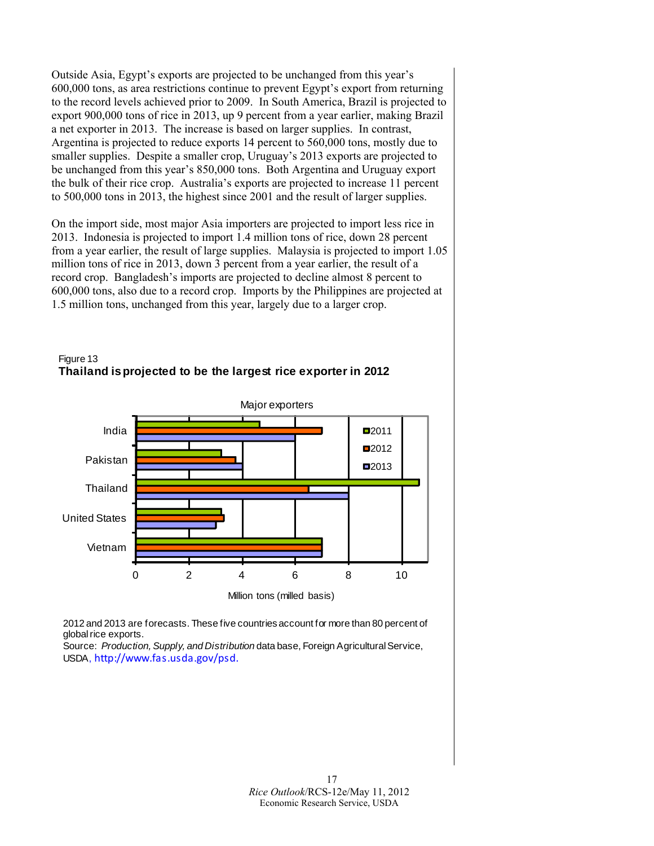Outside Asia, Egypt's exports are projected to be unchanged from this year's 600,000 tons, as area restrictions continue to prevent Egypt's export from returning to the record levels achieved prior to 2009. In South America, Brazil is projected to export 900,000 tons of rice in 2013, up 9 percent from a year earlier, making Brazil a net exporter in 2013. The increase is based on larger supplies. In contrast, Argentina is projected to reduce exports 14 percent to 560,000 tons, mostly due to smaller supplies. Despite a smaller crop, Uruguay's 2013 exports are projected to be unchanged from this year's 850,000 tons. Both Argentina and Uruguay export the bulk of their rice crop. Australia's exports are projected to increase 11 percent to 500,000 tons in 2013, the highest since 2001 and the result of larger supplies.

On the import side, most major Asia importers are projected to import less rice in 2013. Indonesia is projected to import 1.4 million tons of rice, down 28 percent from a year earlier, the result of large supplies. Malaysia is projected to import 1.05 million tons of rice in 2013, down 3 percent from a year earlier, the result of a record crop. Bangladesh's imports are projected to decline almost 8 percent to 600,000 tons, also due to a record crop. Imports by the Philippines are projected at 1.5 million tons, unchanged from this year, largely due to a larger crop.



Figure 13 **Thailand is projected to be the largest rice exporter in 2012**

2012 and 2013 are forecasts. These five countries account for more than 80 percent of global rice exports.

Source: *Production, Supply, and Distribution* data base, Foreign Agricultural Service, USDA, [http://www.fas.usda.gov/psd.](http://www.fas.usda.gov/psdonline)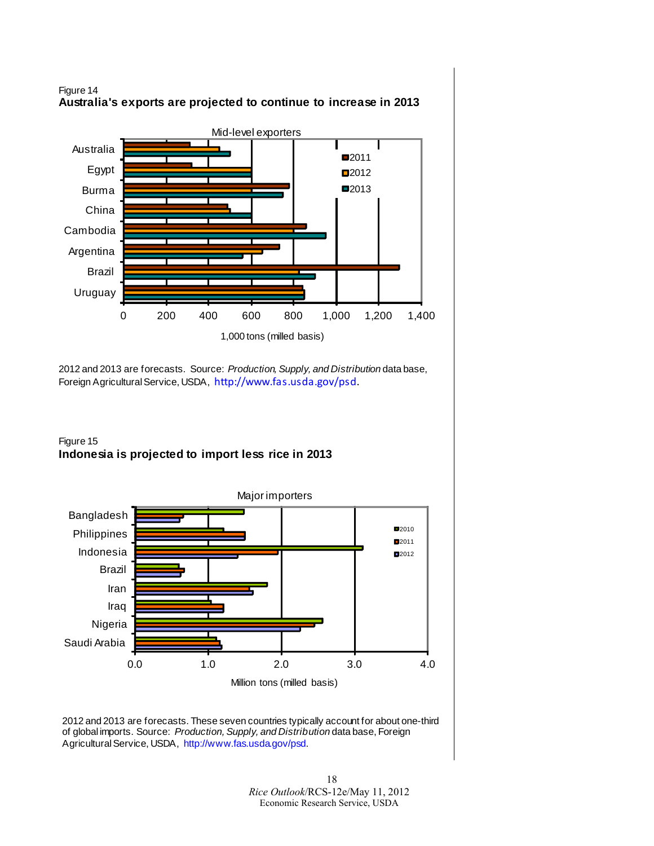



2012 and 2013 are forecasts. Source: *Production, Supply, and Distribution* data base, Foreign Agricultural Service, USDA, [http://www.fas.usda.gov/psd](http://www.fas.usda.gov/psdonline).

## Figure 15 **Indonesia is projected to import less rice in 2013**



2012 and 2013 are forecasts. These seven countries typically account for about one-third of global imports. Source: *Production, Supply, and Distribution* data base, Foreign Agricultural Service, USDA, [http://www.fas.usda.gov/psd.](http://www.fas.usda.gov/psdonline)

> 18 *Rice Outlook*/RCS-12e/May 11, 2012 Economic Research Service, USDA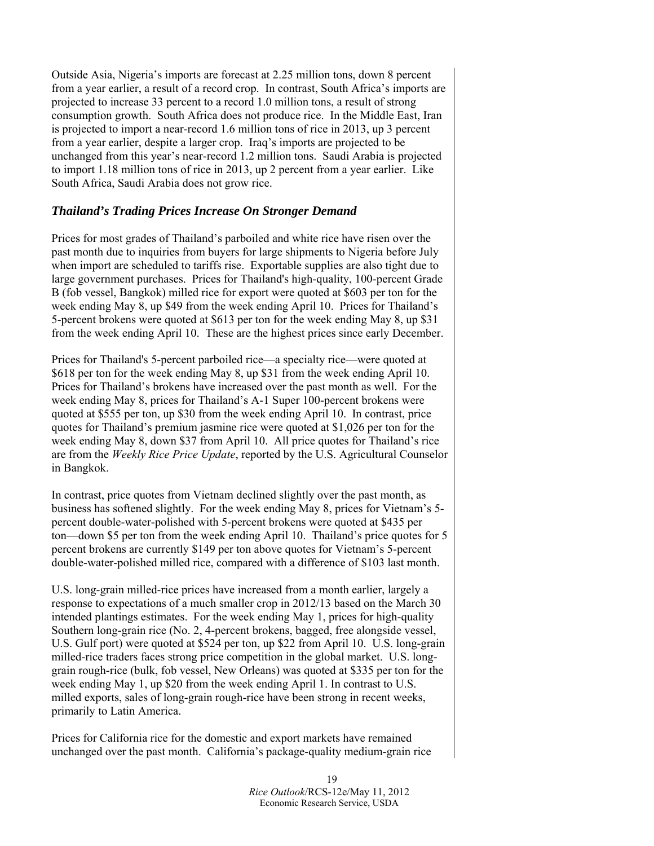Outside Asia, Nigeria's imports are forecast at 2.25 million tons, down 8 percent from a year earlier, a result of a record crop. In contrast, South Africa's imports are projected to increase 33 percent to a record 1.0 million tons, a result of strong consumption growth. South Africa does not produce rice. In the Middle East, Iran is projected to import a near-record 1.6 million tons of rice in 2013, up 3 percent from a year earlier, despite a larger crop. Iraq's imports are projected to be unchanged from this year's near-record 1.2 million tons. Saudi Arabia is projected to import 1.18 million tons of rice in 2013, up 2 percent from a year earlier. Like South Africa, Saudi Arabia does not grow rice.

## *Thailand's Trading Prices Increase On Stronger Demand*

Prices for most grades of Thailand's parboiled and white rice have risen over the past month due to inquiries from buyers for large shipments to Nigeria before July when import are scheduled to tariffs rise. Exportable supplies are also tight due to large government purchases. Prices for Thailand's high-quality, 100-percent Grade B (fob vessel, Bangkok) milled rice for export were quoted at \$603 per ton for the week ending May 8, up \$49 from the week ending April 10. Prices for Thailand's 5-percent brokens were quoted at \$613 per ton for the week ending May 8, up \$31 from the week ending April 10. These are the highest prices since early December.

Prices for Thailand's 5-percent parboiled rice—a specialty rice—were quoted at \$618 per ton for the week ending May 8, up \$31 from the week ending April 10. Prices for Thailand's brokens have increased over the past month as well. For the week ending May 8, prices for Thailand's A-1 Super 100-percent brokens were quoted at \$555 per ton, up \$30 from the week ending April 10. In contrast, price quotes for Thailand's premium jasmine rice were quoted at \$1,026 per ton for the week ending May 8, down \$37 from April 10. All price quotes for Thailand's rice are from the *Weekly Rice Price Update*, reported by the U.S. Agricultural Counselor in Bangkok.

In contrast, price quotes from Vietnam declined slightly over the past month, as business has softened slightly. For the week ending May 8, prices for Vietnam's 5 percent double-water-polished with 5-percent brokens were quoted at \$435 per ton—down \$5 per ton from the week ending April 10. Thailand's price quotes for 5 percent brokens are currently \$149 per ton above quotes for Vietnam's 5-percent double-water-polished milled rice, compared with a difference of \$103 last month.

U.S. long-grain milled-rice prices have increased from a month earlier, largely a response to expectations of a much smaller crop in 2012/13 based on the March 30 intended plantings estimates. For the week ending May 1, prices for high-quality Southern long-grain rice (No. 2, 4-percent brokens, bagged, free alongside vessel, U.S. Gulf port) were quoted at \$524 per ton, up \$22 from April 10. U.S. long-grain milled-rice traders faces strong price competition in the global market. U.S. longgrain rough-rice (bulk, fob vessel, New Orleans) was quoted at \$335 per ton for the week ending May 1, up \$20 from the week ending April 1. In contrast to U.S. milled exports, sales of long-grain rough-rice have been strong in recent weeks, primarily to Latin America.

Prices for California rice for the domestic and export markets have remained unchanged over the past month. California's package-quality medium-grain rice

> 19 *Rice Outlook*/RCS-12e/May 11, 2012 Economic Research Service, USDA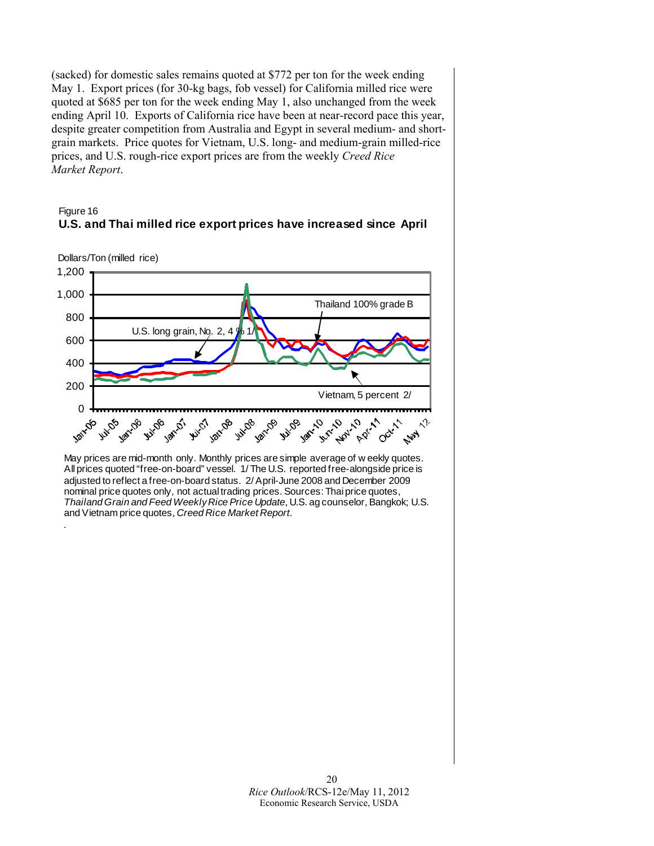(sacked) for domestic sales remains quoted at \$772 per ton for the week ending May 1. Export prices (for 30-kg bags, fob vessel) for California milled rice were quoted at \$685 per ton for the week ending May 1, also unchanged from the week ending April 10. Exports of California rice have been at near-record pace this year, despite greater competition from Australia and Egypt in several medium- and shortgrain markets. Price quotes for Vietnam, U.S. long- and medium-grain milled-rice prices, and U.S. rough-rice export prices are from the weekly *Creed Rice Market Report*.

## Figure 16 **U.S. and Thai milled rice export prices have increased since April**

Dollars/Ton (milled rice)

*.*



May prices are mid-month only. Monthly prices are simple average of w eekly quotes. All prices quoted "free-on-board" vessel. 1/ The U.S. reported free-alongside price is adjusted to reflect a free-on-board status. 2/ April-June 2008 and December 2009 nominal price quotes only, not actual trading prices. Sources: Thai price quotes, *Thailand Grain and Feed Weekly Rice Price Update*, U.S. ag counselor, Bangkok; U.S. and Vietnam price quotes, *Creed Rice Market Report*.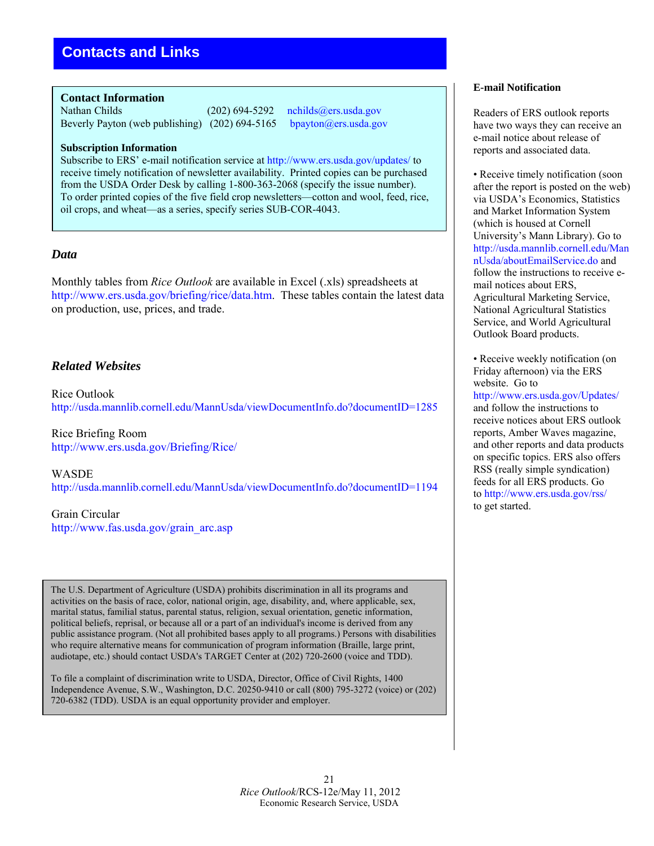<span id="page-20-0"></span>**Contact Information** 

Nathan Childs (202) 694-5292 [nchilds@ers.usda.gov](mailto:nchilds@ers.usda.gov)<br>Beverly Payton (web publishing) (202) 694-5165 bpayton@ers.usda.gov Beverly Payton (web publishing)  $(202)$  694-5165

#### **Subscription Information**

Subscribe to ERS' e-mail notification service at<http://www.ers.usda.gov/updates/>to receive timely notification of newsletter availability. Printed copies can be purchased from the USDA Order Desk by calling 1-800-363-2068 (specify the issue number). To order printed copies of the five field crop newsletters—cotton and wool, feed, rice, oil crops, and wheat—as a series, specify series SUB-COR-4043.

## *Data*

Monthly tables from *Rice Outlook* are available in Excel (.xls) spreadsheets at [http://www.ers.usda.gov/briefing/rice/data.htm.](http://www.ers.usda.gov/briefing/rice/data.htm) These tables contain the latest data on production, use, prices, and trade.

## *Related Websites*

Rice Outlook <http://usda.mannlib.cornell.edu/MannUsda/viewDocumentInfo.do?documentID=1285>

Rice Briefing Room <http://www.ers.usda.gov/Briefing/Rice/>

WASDE <http://usda.mannlib.cornell.edu/MannUsda/viewDocumentInfo.do?documentID=1194>

Grain Circular [http://www.fas.usda.gov/grain\\_arc.asp](http://www.fas.usda.gov/grain_arc.asp) 

The U.S. Department of Agriculture (USDA) prohibits discrimination in all its programs and activities on the basis of race, color, national origin, age, disability, and, where applicable, sex, marital status, familial status, parental status, religion, sexual orientation, genetic information, political beliefs, reprisal, or because all or a part of an individual's income is derived from any public assistance program. (Not all prohibited bases apply to all programs.) Persons with disabilities who require alternative means for communication of program information (Braille, large print, audiotape, etc.) should contact USDA's TARGET Center at (202) 720-2600 (voice and TDD).

To file a complaint of discrimination write to USDA, Director, Office of Civil Rights, 1400 Independence Avenue, S.W., Washington, D.C. 20250-9410 or call (800) 795-3272 (voice) or (202) 720-6382 (TDD). USDA is an equal opportunity provider and employer.

#### **E-mail Notification**

Readers of ERS outlook reports have two ways they can receive an e-mail notice about release of reports and associated data.

• Receive timely notification (soon after the report is posted on the web) via USDA's Economics, Statistics and Market Information System (which is housed at Cornell University's Mann Library). Go to [http://usda.mannlib.cornell.edu/Man](http://usda.mannlib.cornell.edu/MannUsda/aboutEmailService.do) [nUsda/aboutEmailService.do](http://usda.mannlib.cornell.edu/MannUsda/aboutEmailService.do) and follow the instructions to receive email notices about ERS, Agricultural Marketing Service, National Agricultural Statistics Service, and World Agricultural Outlook Board products.

• Receive weekly notification (on Friday afternoon) via the ERS website. Go to <http://www.ers.usda.gov/Updates/> and follow the instructions to receive notices about ERS outlook reports, Amber Waves magazine, and other reports and data products on specific topics. ERS also offers RSS (really simple syndication) feeds for all ERS products. Go t[o http://www.ers.usda.gov/rss/](http://www.ers.usda.gov/rss/) to get started.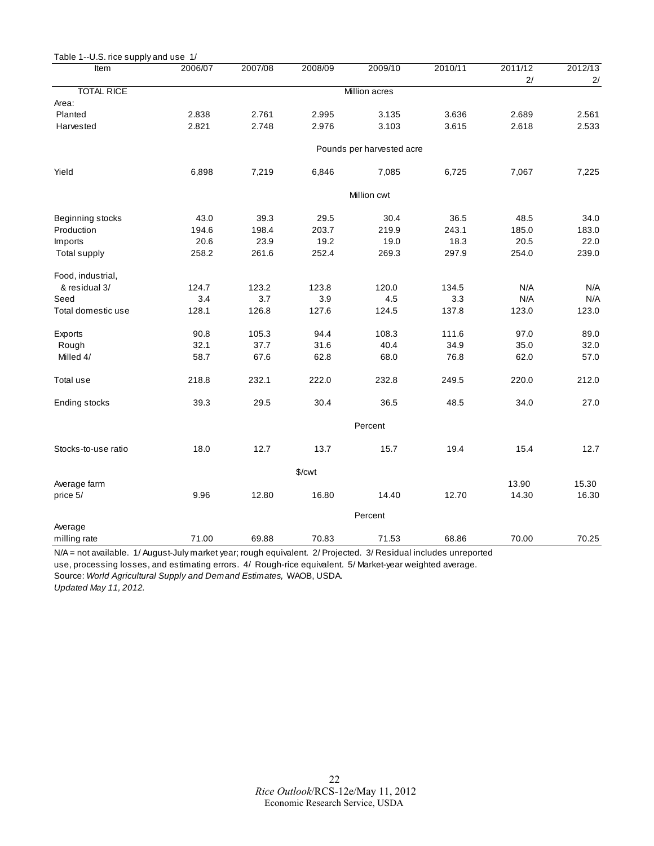<span id="page-21-0"></span>

| Table 1--U.S. rice supply and use 1/ |         |         |             |                           |         |               |               |
|--------------------------------------|---------|---------|-------------|---------------------------|---------|---------------|---------------|
| ltem                                 | 2006/07 | 2007/08 | 2008/09     | 2009/10                   | 2010/11 | 2011/12<br>2/ | 2012/13<br>2/ |
| <b>TOTAL RICE</b>                    |         |         |             | Million acres             |         |               |               |
| Area:                                |         |         |             |                           |         |               |               |
| Planted                              | 2.838   | 2.761   | 2.995       | 3.135                     | 3.636   | 2.689         | 2.561         |
| Harvested                            | 2.821   | 2.748   | 2.976       | 3.103                     | 3.615   | 2.618         | 2.533         |
|                                      |         |         |             | Pounds per harvested acre |         |               |               |
| Yield                                | 6,898   | 7,219   | 6,846       | 7,085                     | 6,725   | 7,067         | 7,225         |
|                                      |         |         |             | Million cwt               |         |               |               |
| Beginning stocks                     | 43.0    | 39.3    | 29.5        | 30.4                      | 36.5    | 48.5          | 34.0          |
| Production                           | 194.6   | 198.4   | 203.7       | 219.9                     | 243.1   | 185.0         | 183.0         |
| Imports                              | 20.6    | 23.9    | 19.2        | 19.0                      | 18.3    | 20.5          | 22.0          |
| Total supply                         | 258.2   | 261.6   | 252.4       | 269.3                     | 297.9   | 254.0         | 239.0         |
| Food, industrial,                    |         |         |             |                           |         |               |               |
| & residual 3/                        | 124.7   | 123.2   | 123.8       | 120.0                     | 134.5   | N/A           | N/A           |
| Seed                                 | 3.4     | 3.7     | 3.9         | 4.5                       | 3.3     | N/A           | N/A           |
| Total domestic use                   | 128.1   | 126.8   | 127.6       | 124.5                     | 137.8   | 123.0         | 123.0         |
| Exports                              | 90.8    | 105.3   | 94.4        | 108.3                     | 111.6   | 97.0          | 89.0          |
| Rough                                | 32.1    | 37.7    | 31.6        | 40.4                      | 34.9    | 35.0          | 32.0          |
| Milled 4/                            | 58.7    | 67.6    | 62.8        | 68.0                      | 76.8    | 62.0          | 57.0          |
| Total use                            | 218.8   | 232.1   | 222.0       | 232.8                     | 249.5   | 220.0         | 212.0         |
| Ending stocks                        | 39.3    | 29.5    | 30.4        | 36.5                      | 48.5    | 34.0          | 27.0          |
|                                      |         |         |             |                           |         |               |               |
| Stocks-to-use ratio                  | 18.0    | 12.7    | 13.7        | 15.7                      | 19.4    | 15.4          | 12.7          |
|                                      |         |         | $%$ / $cwt$ |                           |         |               |               |
| Average farm                         |         |         |             |                           |         | 13.90         | 15.30         |
| price 5/                             | 9.96    | 12.80   | 16.80       | 14.40                     | 12.70   | 14.30         | 16.30         |
|                                      |         |         |             | Percent                   |         |               |               |
| Average                              |         |         |             |                           |         |               |               |
| milling rate                         | 71.00   | 69.88   | 70.83       | 71.53                     | 68.86   | 70.00         | 70.25         |

N/A = not available. 1/ August-July market year; rough equivalent. 2/ Projected. 3/ Residual includes unreported use, processing losses, and estimating errors. 4/ Rough-rice equivalent. 5/ Market-year weighted average.

Source: *World Agricultural Supply and Demand Estimates,* WAOB, USDA.

*Updated May 11, 2012.*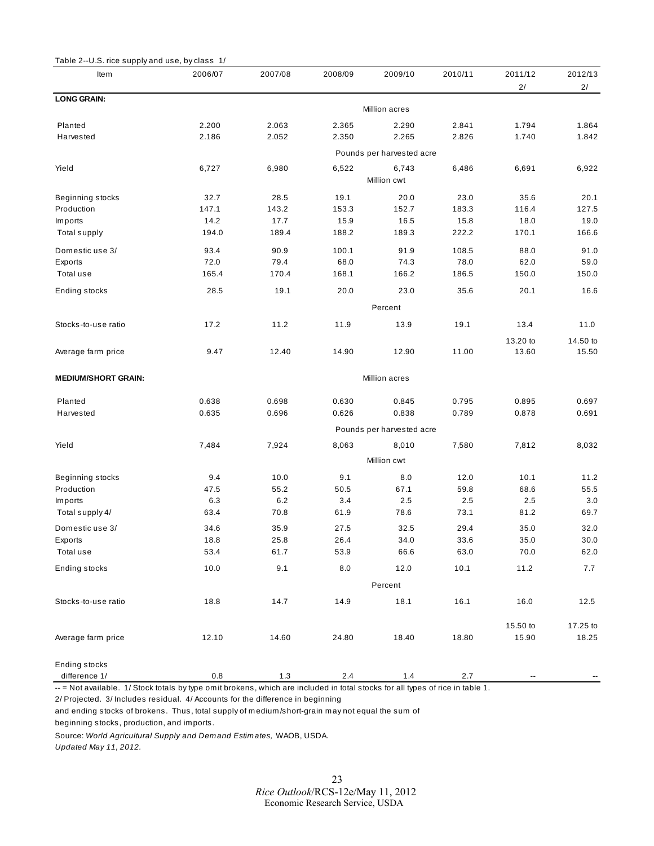<span id="page-22-0"></span>

| Table 2--U.S. rice supply and use, by class 1/ |             |         |         |                           |         |          |          |  |  |
|------------------------------------------------|-------------|---------|---------|---------------------------|---------|----------|----------|--|--|
| <b>Item</b>                                    | 2006/07     | 2007/08 | 2008/09 | 2009/10                   | 2010/11 | 2011/12  | 2012/13  |  |  |
| <b>LONG GRAIN:</b>                             |             |         |         |                           |         | 2/       | 2/       |  |  |
|                                                |             |         |         | Million acres             |         |          |          |  |  |
| Planted                                        | 2.200       | 2.063   | 2.365   | 2.290                     | 2.841   | 1.794    | 1.864    |  |  |
| Harvested                                      | 2.186       | 2.052   | 2.350   | 2.265                     | 2.826   | 1.740    | 1.842    |  |  |
|                                                |             |         |         | Pounds per harvested acre |         |          |          |  |  |
| Yield                                          | 6,727       | 6,980   | 6,522   | 6,743                     | 6,486   | 6,691    | 6,922    |  |  |
|                                                |             |         |         | Million cwt               |         |          |          |  |  |
| Beginning stocks                               | 32.7        | 28.5    | 19.1    | 20.0                      | 23.0    | 35.6     | 20.1     |  |  |
| Production                                     | 147.1       | 143.2   | 153.3   | 152.7                     | 183.3   | 116.4    | 127.5    |  |  |
| Im ports                                       | 14.2        | 17.7    | 15.9    | 16.5                      | 15.8    | 18.0     | 19.0     |  |  |
| Total supply                                   | 194.0       | 189.4   | 188.2   | 189.3                     | 222.2   | 170.1    | 166.6    |  |  |
| Domestic use 3/                                | 93.4        | 90.9    | 100.1   | 91.9                      | 108.5   | 88.0     | 91.0     |  |  |
| Exports                                        | 72.0        | 79.4    | 68.0    | 74.3                      | 78.0    | 62.0     | 59.0     |  |  |
| Total use                                      | 165.4       | 170.4   | 168.1   | 166.2                     | 186.5   | 150.0    | 150.0    |  |  |
| Ending stocks                                  | 28.5        | 19.1    | 20.0    | 23.0                      | 35.6    | 20.1     | 16.6     |  |  |
|                                                |             |         |         | Percent                   |         |          |          |  |  |
| Stocks-to-use ratio                            | 17.2        | 11.2    | 11.9    | 13.9                      | 19.1    | 13.4     | 11.0     |  |  |
|                                                |             |         |         |                           |         | 13.20 to | 14.50 to |  |  |
| Average farm price                             | 9.47        | 12.40   | 14.90   | 12.90                     | 11.00   | 13.60    | 15.50    |  |  |
|                                                |             |         |         |                           |         |          |          |  |  |
| <b>MEDIUM/SHORT GRAIN:</b>                     |             |         |         | Million acres             |         |          |          |  |  |
| Planted                                        | 0.638       | 0.698   | 0.630   | 0.845                     | 0.795   | 0.895    | 0.697    |  |  |
| Harvested                                      | 0.635       | 0.696   | 0.626   | 0.838                     | 0.789   | 0.878    | 0.691    |  |  |
|                                                |             |         |         | Pounds per harvested acre |         |          |          |  |  |
| Yield                                          | 7,484       | 7,924   | 8,063   | 8,010                     | 7,580   | 7,812    | 8,032    |  |  |
|                                                | Million cwt |         |         |                           |         |          |          |  |  |
| Beginning stocks                               | 9.4         | 10.0    | 9.1     | 8.0                       | 12.0    | 10.1     | 11.2     |  |  |
| Production                                     | 47.5        | 55.2    | 50.5    | 67.1                      | 59.8    | 68.6     | 55.5     |  |  |
| Imports                                        | 6.3         | 6.2     | $3.4\,$ | 2.5                       | 2.5     | 2.5      | 3.0      |  |  |
| Total supply 4/                                | 63.4        | 70.8    | 61.9    | 78.6                      | 73.1    | 81.2     | 69.7     |  |  |
| Domestic use 3/                                | 34.6        | 35.9    | 27.5    | 32.5                      | 29.4    | 35.0     | 32.0     |  |  |
| Exports                                        | 18.8        | 25.8    | 26.4    | 34.0                      | 33.6    | 35.0     | 30.0     |  |  |
| Total use                                      | 53.4        | 61.7    | 53.9    | 66.6                      | 63.0    | 70.0     | 62.0     |  |  |
| Ending stocks                                  | 10.0        | 9.1     | 8.0     | 12.0                      | 10.1    | 11.2     | 7.7      |  |  |
|                                                |             |         |         | Percent                   |         |          |          |  |  |
| Stocks-to-use ratio                            | 18.8        | 14.7    | 14.9    | 18.1                      | 16.1    | 16.0     | 12.5     |  |  |
|                                                |             |         |         |                           |         |          |          |  |  |
|                                                |             |         |         |                           |         | 15.50 to | 17.25 to |  |  |
| Average farm price                             | 12.10       | 14.60   | 24.80   | 18.40                     | 18.80   | 15.90    | 18.25    |  |  |
| Ending stocks                                  |             |         |         |                           |         |          |          |  |  |
| difference 1/                                  | 0.8         | 1.3     | 2.4     | $1.4$                     | 2.7     |          |          |  |  |
|                                                |             |         |         |                           |         |          |          |  |  |

-- = Not available. 1/ Stock totals by type om it brokens, which are included in total stocks for all types of rice in table 1.

2/ Projected. 3/ Includes residual. 4/ Accounts for the difference in beginning

and ending stocks of brokens. Thus, total supply of medium/short-grain may not equal the sum of beginning stocks, production, and imports.

Source: *World Agricultural Supply and Demand Estimates,* WAOB, USDA. *Updated May 11, 2012.*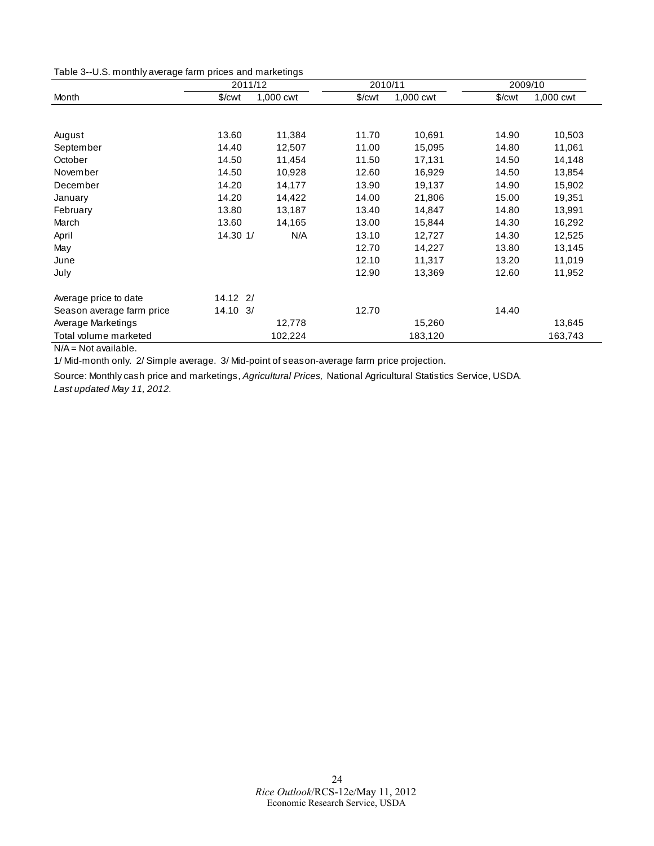<span id="page-23-0"></span>Table 3--U.S. monthly average farm prices and marketings

|                           | 2011/12             |           | 2010/11 |           | 2009/10              |           |  |
|---------------------------|---------------------|-----------|---------|-----------|----------------------|-----------|--|
| Month                     | \$/ <sub>cut</sub>  | 1,000 cwt | \$/cwt  | 1,000 cwt | $%$ / $\mathsf{cwt}$ | 1,000 cwt |  |
|                           |                     |           |         |           |                      |           |  |
| August                    | 13.60               | 11,384    | 11.70   | 10,691    | 14.90                | 10,503    |  |
| September                 | 14.40               | 12,507    | 11.00   | 15,095    | 14.80                | 11,061    |  |
| October                   | 14.50               | 11,454    | 11.50   | 17,131    | 14.50                | 14,148    |  |
| November                  | 14.50               | 10,928    | 12.60   | 16,929    | 14.50                | 13,854    |  |
| December                  | 14.20               | 14,177    | 13.90   | 19,137    | 14.90                | 15,902    |  |
| January                   | 14.20               | 14,422    | 14.00   | 21,806    | 15.00                | 19,351    |  |
| February                  | 13.80               | 13,187    | 13.40   | 14,847    | 14.80                | 13,991    |  |
| March                     | 13.60               | 14,165    | 13.00   | 15,844    | 14.30                | 16,292    |  |
| April                     | 14.30 1/            | N/A       | 13.10   | 12,727    | 14.30                | 12,525    |  |
| May                       |                     |           | 12.70   | 14,227    | 13.80                | 13,145    |  |
| June                      |                     |           | 12.10   | 11,317    | 13.20                | 11,019    |  |
| July                      |                     |           | 12.90   | 13,369    | 12.60                | 11,952    |  |
| Average price to date     | $14.12$ 2/          |           |         |           |                      |           |  |
| Season average farm price | $14.10 \frac{3}{2}$ |           | 12.70   |           | 14.40                |           |  |
| Average Marketings        |                     | 12,778    |         | 15,260    |                      | 13,645    |  |
| Total volume marketed     |                     | 102,224   |         | 183,120   |                      | 163,743   |  |

 $N/A = Not available.$ 

1/ Mid-month only. 2/ Simple average. 3/ Mid-point of season-average farm price projection.

Source: Monthly cash price and marketings, *Agricultural Prices,* National Agricultural Statistics Service, USDA. *Last updated May 11, 2012.*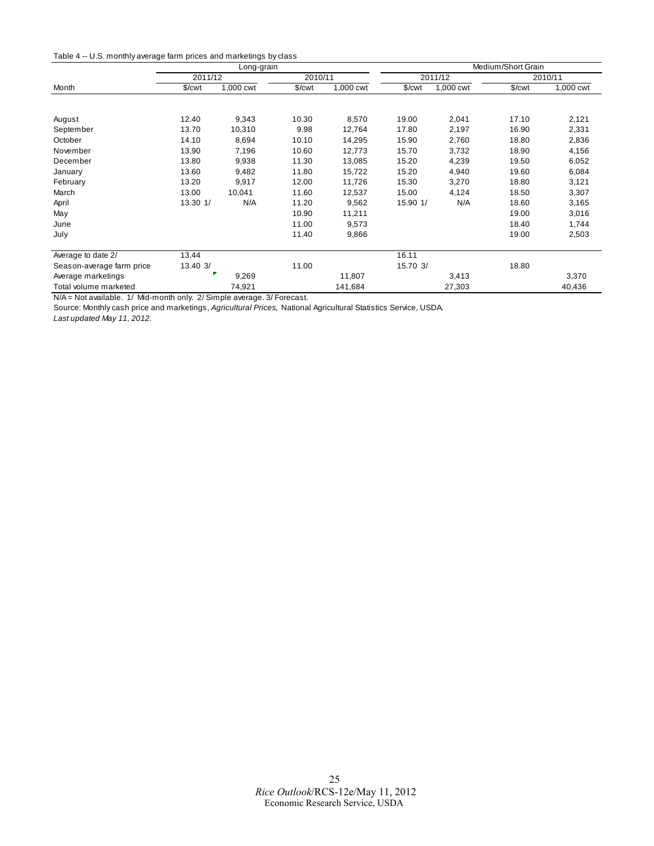<span id="page-24-0"></span>

|                           |                    | Long-grain |                    |           | Medium/Short Grain |           |                    |           |
|---------------------------|--------------------|------------|--------------------|-----------|--------------------|-----------|--------------------|-----------|
|                           | 2011/12            |            | 2010/11            |           |                    | 2011/12   |                    | 2010/11   |
| Month                     | \$/ <sub>cut</sub> | 1,000 cwt  | \$/ <sub>cut</sub> | 1,000 cwt | \$/ <sub>cut</sub> | 1,000 cwt | \$/ <sub>cut</sub> | 1,000 cwt |
|                           |                    |            |                    |           |                    |           |                    |           |
| August                    | 12.40              | 9,343      | 10.30              | 8,570     | 19.00              | 2,041     | 17.10              | 2,121     |
| September                 | 13.70              | 10,310     | 9.98               | 12,764    | 17.80              | 2,197     | 16.90              | 2,331     |
| October                   | 14.10              | 8,694      | 10.10              | 14,295    | 15.90              | 2,760     | 18.80              | 2,836     |
| November                  | 13.90              | 7,196      | 10.60              | 12,773    | 15.70              | 3,732     | 18.90              | 4,156     |
| December                  | 13.80              | 9,938      | 11.30              | 13,085    | 15.20              | 4,239     | 19.50              | 6,052     |
| January                   | 13.60              | 9,482      | 11.80              | 15,722    | 15.20              | 4,940     | 19.60              | 6,084     |
| February                  | 13.20              | 9,917      | 12.00              | 11,726    | 15.30              | 3,270     | 18.80              | 3,121     |
| March                     | 13.00              | 10,041     | 11.60              | 12,537    | 15.00              | 4,124     | 18.50              | 3,307     |
| April                     | 13.30 1/           | N/A        | 11.20              | 9,562     | 15.90 1/           | N/A       | 18.60              | 3,165     |
| May                       |                    |            | 10.90              | 11,211    |                    |           | 19.00              | 3,016     |
| June                      |                    |            | 11.00              | 9,573     |                    |           | 18.40              | 1,744     |
| July                      |                    |            | 11.40              | 9,866     |                    |           | 19.00              | 2,503     |
| Average to date 2/        | 13.44              |            |                    |           | 16.11              |           |                    |           |
| Season-average farm price | 13.40 3/           |            | 11.00              |           | 15.70 3/           |           | 18.80              |           |
| Average marketings        |                    | 9,269      |                    | 11,807    |                    | 3,413     |                    | 3,370     |
| Total volume marketed     |                    | 74,921     |                    | 141,684   |                    | 27,303    |                    | 40,436    |

N/A = Not available. 1/ Mid-month only. 2/ Simple average. 3/ Forecast.

Source: Monthly cash price and marketings, *Agricultural Prices,* National Agricultural Statistics Service, USDA.

*Last updated May 11, 2012.*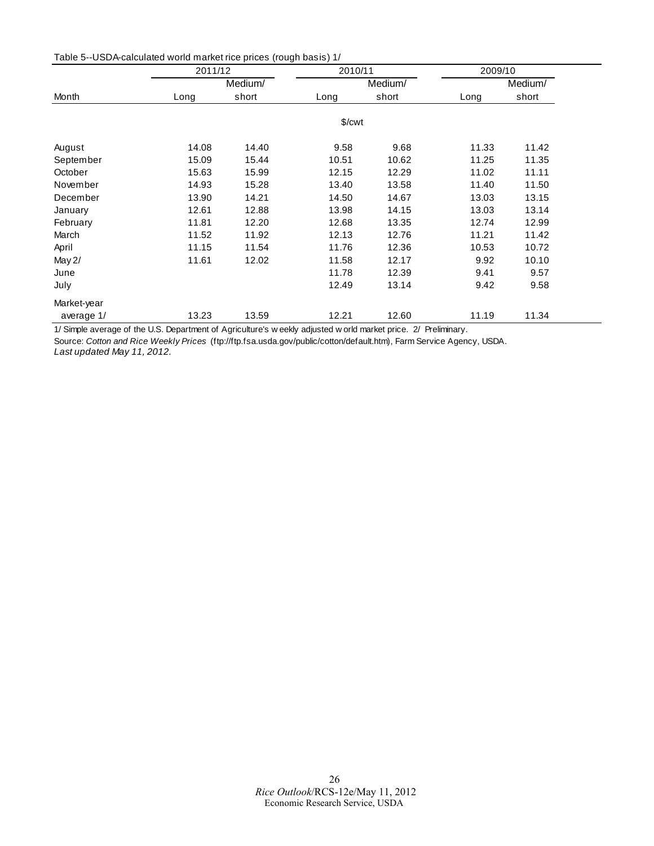<span id="page-25-0"></span>

| Table 5--USDA-calculated world market rice prices (rough basis) 1/ |  |
|--------------------------------------------------------------------|--|
|--------------------------------------------------------------------|--|

|             | 2011/12 |         | 2010/11            |         | 2009/10 |         |  |
|-------------|---------|---------|--------------------|---------|---------|---------|--|
|             |         | Medium/ |                    | Medium/ |         | Medium/ |  |
| Month       | Long    | short   | Long               | short   | Long    | short   |  |
|             |         |         | \$/ <sub>cut</sub> |         |         |         |  |
| August      | 14.08   | 14.40   | 9.58               | 9.68    | 11.33   | 11.42   |  |
| September   | 15.09   | 15.44   | 10.51              | 10.62   | 11.25   | 11.35   |  |
| October     | 15.63   | 15.99   | 12.15              | 12.29   | 11.02   | 11.11   |  |
| November    | 14.93   | 15.28   | 13.40              | 13.58   | 11.40   | 11.50   |  |
| December    | 13.90   | 14.21   | 14.50              | 14.67   | 13.03   | 13.15   |  |
| January     | 12.61   | 12.88   | 13.98              | 14.15   | 13.03   | 13.14   |  |
| February    | 11.81   | 12.20   | 12.68              | 13.35   | 12.74   | 12.99   |  |
| March       | 11.52   | 11.92   | 12.13              | 12.76   | 11.21   | 11.42   |  |
| April       | 11.15   | 11.54   | 11.76              | 12.36   | 10.53   | 10.72   |  |
| May 2/      | 11.61   | 12.02   | 11.58              | 12.17   | 9.92    | 10.10   |  |
| June        |         |         | 11.78              | 12.39   | 9.41    | 9.57    |  |
| July        |         |         | 12.49              | 13.14   | 9.42    | 9.58    |  |
| Market-year |         |         |                    |         |         |         |  |
| average 1/  | 13.23   | 13.59   | 12.21              | 12.60   | 11.19   | 11.34   |  |

1/ Simple average of the U.S. Department of Agriculture's w eekly adjusted w orld market price. 2/ Preliminary.

Source: *Cotton and Rice Weekly Prices* (ftp://ftp.fsa.usda.gov/public/cotton/default.htm), Farm Service Agency, USDA.

*Last updated May 11, 2012.*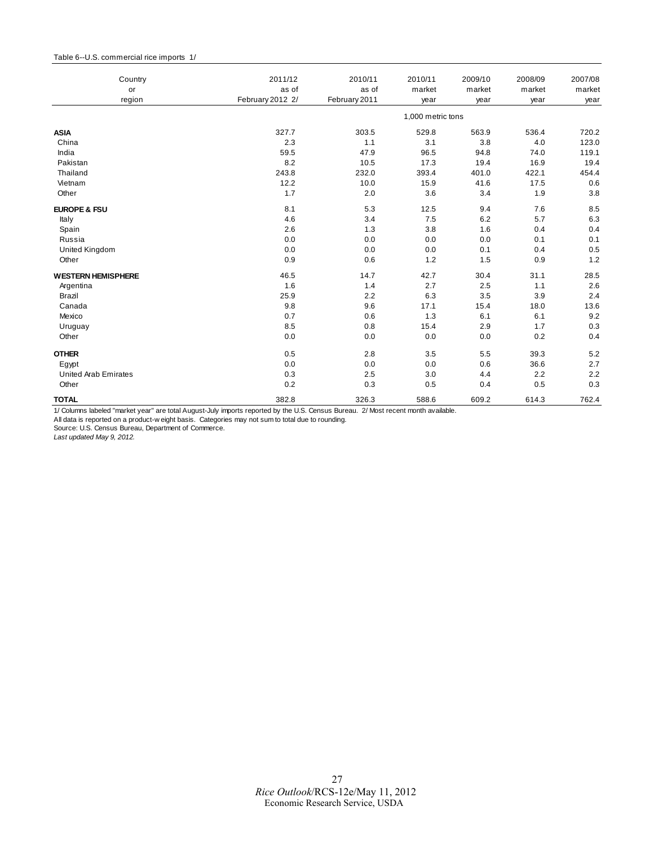#### <span id="page-26-0"></span>Table 6--U.S. commercial rice imports 1/

| Country<br>or               | 2011/12<br>as of | 2010/11<br>as of | 2010/11<br>market | 2009/10<br>market | 2008/09<br>market | 2007/08<br>market |
|-----------------------------|------------------|------------------|-------------------|-------------------|-------------------|-------------------|
| region                      | February 2012 2/ | February 2011    | year              | year              | year              | year              |
|                             |                  |                  | 1,000 metric tons |                   |                   |                   |
| <b>ASIA</b>                 | 327.7            | 303.5            | 529.8             | 563.9             | 536.4             | 720.2             |
| China                       | 2.3              | 1.1              | 3.1               | 3.8               | 4.0               | 123.0             |
| India                       | 59.5             | 47.9             | 96.5              | 94.8              | 74.0              | 119.1             |
| Pakistan                    | 8.2              | 10.5             | 17.3              | 19.4              | 16.9              | 19.4              |
| Thailand                    | 243.8            | 232.0            | 393.4             | 401.0             | 422.1             | 454.4             |
| Vietnam                     | 12.2             | 10.0             | 15.9              | 41.6              | 17.5              | 0.6               |
| Other                       | 1.7              | 2.0              | 3.6               | 3.4               | 1.9               | 3.8               |
| <b>EUROPE &amp; FSU</b>     | 8.1              | 5.3              | 12.5              | 9.4               | 7.6               | 8.5               |
| Italy                       | 4.6              | 3.4              | 7.5               | 6.2               | 5.7               | 6.3               |
| Spain                       | 2.6              | 1.3              | 3.8               | 1.6               | 0.4               | 0.4               |
| Russia                      | 0.0              | 0.0              | 0.0               | 0.0               | 0.1               | 0.1               |
| United Kingdom              | 0.0              | 0.0              | 0.0               | 0.1               | 0.4               | 0.5               |
| Other                       | 0.9              | 0.6              | 1.2               | 1.5               | 0.9               | 1.2               |
| <b>WESTERN HEMISPHERE</b>   | 46.5             | 14.7             | 42.7              | 30.4              | 31.1              | 28.5              |
| Argentina                   | 1.6              | 1.4              | 2.7               | 2.5               | 1.1               | 2.6               |
| <b>Brazil</b>               | 25.9             | 2.2              | 6.3               | 3.5               | 3.9               | 2.4               |
| Canada                      | 9.8              | 9.6              | 17.1              | 15.4              | 18.0              | 13.6              |
| Mexico                      | 0.7              | 0.6              | 1.3               | 6.1               | 6.1               | 9.2               |
| Uruguay                     | 8.5              | 0.8              | 15.4              | 2.9               | 1.7               | 0.3               |
| Other                       | 0.0              | 0.0              | 0.0               | 0.0               | 0.2               | 0.4               |
| <b>OTHER</b>                | 0.5              | 2.8              | 3.5               | 5.5               | 39.3              | 5.2               |
| Egypt                       | 0.0              | 0.0              | 0.0               | 0.6               | 36.6              | 2.7               |
| <b>United Arab Emirates</b> | 0.3              | 2.5              | 3.0               | 4.4               | 2.2               | 2.2               |
| Other                       | 0.2              | 0.3              | 0.5               | 0.4               | 0.5               | 0.3               |
| <b>TOTAL</b>                | 382.8            | 326.3            | 588.6             | 609.2             | 614.3             | 762.4             |

1/ Columns labeled "market year" are total August-July imports reported by the U.S. Census Bureau. 2/ Most recent month available.

All data is reported on a product-w eight basis. Categories may not sum to total due to rounding.

Source: U.S. Census Bureau, Department of Commerce.

*Last updated May 9, 2012.*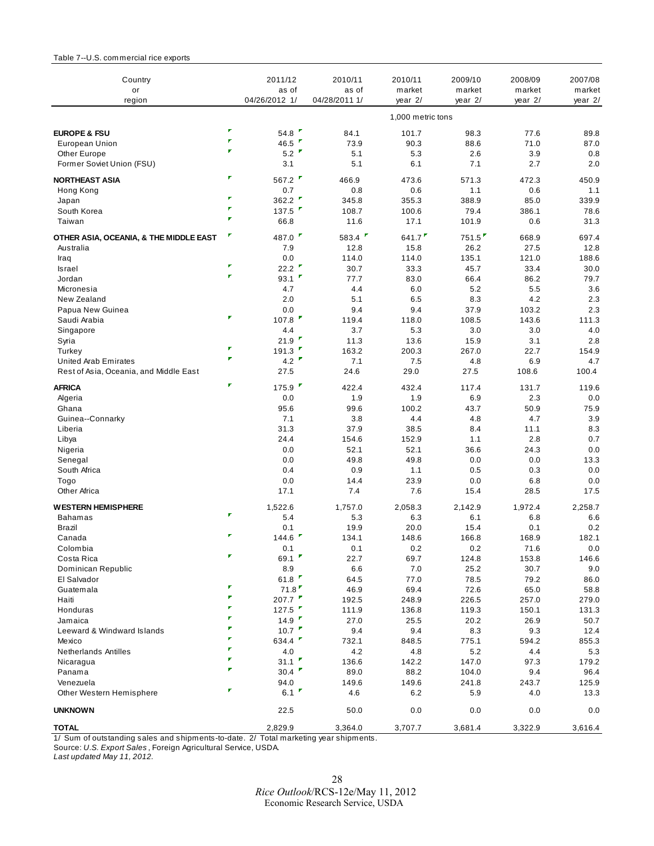#### <span id="page-27-0"></span>Table 7--U.S. commercial rice exports

| Country<br>or                          |                              | 2011/12<br>as of    | 2010/11<br>as of | 2010/11<br>market | 2009/10<br>market | 2008/09<br>market | 2007/08<br>market |
|----------------------------------------|------------------------------|---------------------|------------------|-------------------|-------------------|-------------------|-------------------|
| region                                 |                              | 04/26/2012 1/       | 04/28/2011 1/    | year 2/           | year 2/           | year $2/$         | year $2/$         |
|                                        |                              |                     |                  | 1,000 metric tons |                   |                   |                   |
| <b>EUROPE &amp; FSU</b>                | $\pmb{\tau}$                 | 54.8 $\blacksquare$ | 84.1             | 101.7             | 98.3              | 77.6              | 89.8              |
| <b>European Union</b>                  | $\overline{\mathbf{r}}$      | 46.5 $\blacksquare$ | 73.9             | 90.3              | 88.6              | 71.0              | 87.0              |
| Other Europe                           | F                            | 5.2                 | 5.1              | 5.3               | 2.6               | 3.9               | 0.8               |
| Former Soviet Union (FSU)              |                              | 3.1                 | 5.1              | 6.1               | 7.1               | 2.7               | 2.0               |
| <b>NORTHEAST ASIA</b>                  | ₽                            | 567.2               | 466.9            | 473.6             | 571.3             | 472.3             | 450.9             |
| Hong Kong                              |                              | 0.7                 | 0.8              | 0.6               | 1.1               | 0.6               | 1.1               |
| Japan                                  | ٠                            | 362.2               | 345.8            | 355.3             | 388.9             | 85.0              | 339.9             |
| South Korea                            | $\overline{\mathbf{r}}$      | 137.5               | 108.7            | 100.6             | 79.4              | 386.1             | 78.6              |
| Taiwan                                 | F                            | 66.8                | 11.6             | 17.1              | 101.9             | 0.6               | 31.3              |
| OTHER ASIA, OCEANIA, & THE MIDDLE EAST | τ                            | 487.0               | 583.4            | 641.7             | 751.5             | 668.9             | 697.4             |
| Australia                              |                              | 7.9                 | 12.8             | 15.8              | 26.2              | 27.5              | 12.8              |
| Iraq                                   |                              | 0.0                 | 114.0            | 114.0             | 135.1             | 121.0             | 188.6             |
| Israel                                 | $\pmb{\tau}$<br>$\pmb{\tau}$ | 22.2 $\blacksquare$ | 30.7             | 33.3              | 45.7              | 33.4              | 30.0              |
| Jordan                                 |                              | 93.1                | 77.7             | 83.0              | 66.4              | 86.2              | 79.7              |
| Micronesia                             |                              | 4.7                 | 4.4              | 6.0               | 5.2               | 5.5               | 3.6               |
| New Zealand                            |                              | 2.0                 | 5.1              | 6.5               | 8.3               | 4.2               | 2.3               |
| Papua New Guinea                       | ٠                            | 0.0                 | 9.4              | 9.4               | 37.9              | 103.2             | 2.3               |
| Saudi Arabia                           |                              | 107.8               | 119.4            | 118.0             | 108.5             | 143.6             | 111.3             |
| Singapore                              |                              | 4.4                 | 3.7              | 5.3               | 3.0               | 3.0               | 4.0               |
| Syria                                  | r                            | 21.9                | 11.3             | 13.6              | 15.9              | 3.1               | 2.8               |
| Turkey                                 | $\overline{\phantom{a}}$     | 191.3               | 163.2            | 200.3             | 267.0             | 22.7              | 154.9             |
| <b>United Arab Emirates</b>            |                              | 4.2                 | 7.1              | 7.5               | 4.8               | 6.9               | 4.7               |
| Rest of Asia, Oceania, and Middle East |                              | 27.5                | 24.6             | 29.0              | 27.5              | 108.6             | 100.4             |
| <b>AFRICA</b>                          | ٠                            | 175.9               | 422.4            | 432.4             | 117.4             | 131.7             | 119.6             |
| Algeria                                |                              | 0.0                 | 1.9              | 1.9               | 6.9               | 2.3               | 0.0               |
| Ghana                                  |                              | 95.6                | 99.6             | 100.2             | 43.7              | 50.9              | 75.9              |
| Guinea--Connarky                       |                              | 7.1                 | 3.8              | 4.4               | 4.8               | 4.7               | 3.9               |
| Liberia                                |                              | 31.3                | 37.9             | 38.5              | 8.4               | 11.1              | 8.3               |
| Libya                                  |                              | 24.4                | 154.6            | 152.9             | 1.1               | 2.8               | 0.7               |
| Nigeria                                |                              | 0.0                 | 52.1             | 52.1              | 36.6              | 24.3              | 0.0               |
| Senegal                                |                              | 0.0                 | 49.8             | 49.8              | 0.0               | 0.0               | 13.3              |
| South Africa                           |                              | 0.4                 | 0.9              | 1.1               | 0.5               | 0.3               | 0.0               |
| Togo                                   |                              | 0.0                 | 14.4             | 23.9              | 0.0               | 6.8               | 0.0               |
| Other Africa                           |                              | 17.1                | 7.4              | 7.6               | 15.4              | 28.5              | 17.5              |
| <b>WESTERN HEMISPHERE</b>              | Ŧ                            | 1,522.6             | 1,757.0          | 2,058.3           | 2,142.9           | 1,972.4           | 2,258.7           |
| <b>Bahamas</b>                         |                              | 5.4                 | 5.3              | 6.3               | 6.1               | 6.8               | 6.6               |
| Brazil                                 | $\pmb{\overline{r}}$         | 0.1<br>144.6        | 19.9             | 20.0              | 15.4              | 0.1               | 0.2               |
| Canada                                 |                              |                     | 134.1            | 148.6             | 166.8             | 168.9             | 182.1             |
| Colombia                               | ₹.                           | 0.1<br>69.1         | 0.1              | $0.2\,$           | $0.2\,$           | 71.6              | $0.0\,$           |
| Costa Rica<br>Dominican Republic       |                              | 8.9                 | 22.7<br>6.6      | 69.7<br>7.0       | 124.8<br>25.2     | 153.8<br>30.7     | 146.6<br>9.0      |
| El Salvador                            |                              | 61.8                | 64.5             | 77.0              | 78.5              | 79.2              | 86.0              |
| Guatemala                              | ۳                            | 71.8                | 46.9             | 69.4              | 72.6              | 65.0              | 58.8              |
| Haiti                                  | Ŧ.                           | 207.7               | 192.5            | 248.9             | 226.5             | 257.0             | 279.0             |
| Honduras                               | $\blacksquare$               | 127.5               | 111.9            | 136.8             | 119.3             | 150.1             | 131.3             |
| Jamaica                                | r                            | 14.9                | 27.0             | 25.5              | 20.2              | 26.9              | 50.7              |
| Leeward & Windward Islands             | ٠                            | 10.7                | 9.4              | 9.4               | 8.3               | 9.3               | 12.4              |
| Mexico                                 | ₽                            | 634.4               | 732.1            | 848.5             | 775.1             | 594.2             | 855.3             |
| <b>Netherlands Antilles</b>            | ₽                            | 4.0                 | 4.2              | 4.8               | $5.2\,$           | 4.4               | 5.3               |
| Nicaragua                              | F                            | 31.1                | 136.6            | 142.2             | 147.0             | 97.3              | 179.2             |
| Panama                                 | $\overline{\phantom{a}}$     | 30.4                | 89.0             | 88.2              | 104.0             | 9.4               | 96.4              |
| Venezuela                              |                              | 94.0                | 149.6            | 149.6             | 241.8             | 243.7             | 125.9             |
| Other Western Hemisphere               | Ŧ.                           | 6.1                 | 4.6              | 6.2               | 5.9               | 4.0               | 13.3              |
| <b>UNKNOWN</b>                         |                              | 22.5                | 50.0             | 0.0               | 0.0               | 0.0               | 0.0               |
| <b>TOTAL</b>                           |                              | 2,829.9             | 3,364.0          | 3,707.7           | 3,681.4           | 3,322.9           | 3,616.4           |
|                                        |                              |                     |                  |                   |                   |                   |                   |

1/ Sum of outstanding sales and shipments-to-date. 2/ Total marketing year shipments.

Source: *U.S. Export Sales* , Foreign Agricultural Service, USDA.

*Last updated May 11, 2012.*

28 *Rice Outlook*/RCS-12e/May 11, 2012 Economic Research Service, USDA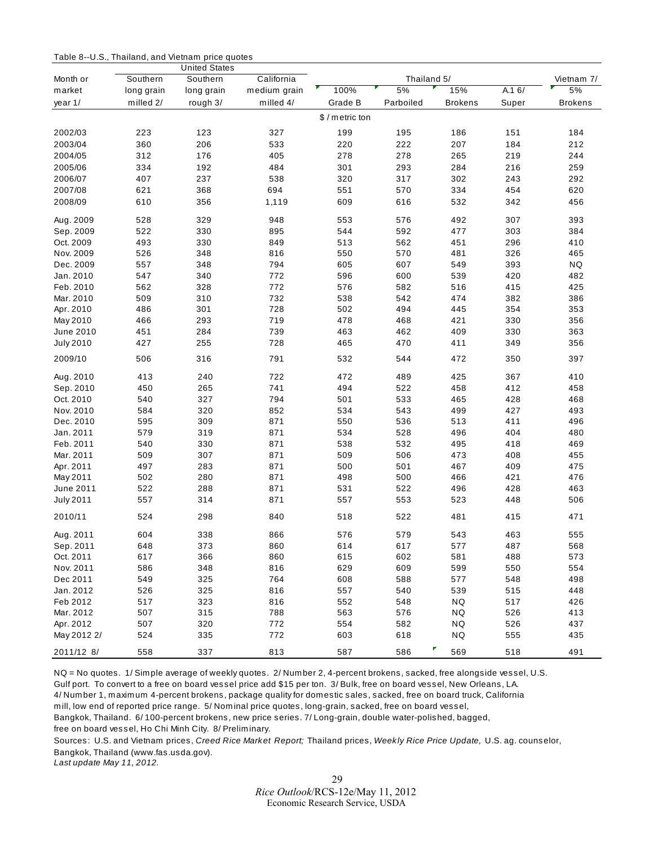<span id="page-28-0"></span>

| Table 8--U.S., Thailand, and Vietnam price quotes |  |  |  |
|---------------------------------------------------|--|--|--|
|---------------------------------------------------|--|--|--|

|                  |            | <b>United States</b> |              |               |             |                |       |                |
|------------------|------------|----------------------|--------------|---------------|-------------|----------------|-------|----------------|
| Month or         | Southern   | Southern             | California   |               | Thailand 5/ |                |       | Vietnam 7/     |
| market           | long grain | long grain           | medium grain | 100%          | 5%          | 15%            | A.16/ | 5%             |
| year 1/          | milled 2/  | rough 3/             | milled 4/    | Grade B       | Parboiled   | <b>Brokens</b> | Super | <b>Brokens</b> |
|                  |            |                      |              | \$/metric ton |             |                |       |                |
| 2002/03          | 223        | 123                  | 327          | 199           | 195         | 186            | 151   | 184            |
| 2003/04          | 360        | 206                  | 533          | 220           | 222         | 207            | 184   | 212            |
| 2004/05          | 312        | 176                  | 405          | 278           | 278         | 265            | 219   | 244            |
| 2005/06          | 334        | 192                  | 484          | 301           | 293         | 284            | 216   | 259            |
| 2006/07          | 407        | 237                  | 538          | 320           | 317         | 302            | 243   | 292            |
| 2007/08          | 621        | 368                  | 694          | 551           | 570         | 334            | 454   | 620            |
| 2008/09          | 610        | 356                  | 1,119        | 609           | 616         | 532            | 342   | 456            |
|                  |            |                      |              |               |             |                |       |                |
| Aug. 2009        | 528        | 329                  | 948          | 553           | 576         | 492            | 307   | 393            |
| Sep. 2009        | 522        | 330                  | 895          | 544           | 592         | 477            | 303   | 384            |
| Oct. 2009        | 493        | 330                  | 849          | 513           | 562         | 451            | 296   | 410            |
| Nov. 2009        | 526        | 348                  | 816          | 550           | 570         | 481            | 326   | 465            |
| Dec. 2009        | 557        | 348                  | 794          | 605           | 607         | 549            | 393   | <b>NQ</b>      |
| Jan. 2010        | 547        | 340                  | 772          | 596           | 600         | 539            | 420   | 482            |
| Feb. 2010        | 562        | 328                  | 772          | 576           | 582         | 516            | 415   | 425            |
| Mar. 2010        | 509        | 310                  | 732          | 538           | 542         | 474            | 382   | 386            |
| Apr. 2010        | 486        | 301                  | 728          | 502           | 494         | 445            | 354   | 353            |
| May 2010         | 466        | 293                  | 719          | 478           | 468         | 421            | 330   | 356            |
| June 2010        | 451        | 284                  | 739          | 463           | 462         | 409            | 330   | 363            |
| <b>July 2010</b> | 427        | 255                  | 728          | 465           | 470         | 411            | 349   | 356            |
| 2009/10          | 506        | 316                  | 791          | 532           | 544         | 472            | 350   | 397            |
| Aug. 2010        | 413        | 240                  | 722          | 472           | 489         | 425            | 367   | 410            |
| Sep. 2010        | 450        | 265                  | 741          | 494           | 522         | 458            | 412   | 458            |
| Oct. 2010        | 540        | 327                  | 794          | 501           | 533         | 465            | 428   | 468            |
| Nov. 2010        | 584        | 320                  | 852          | 534           | 543         | 499            | 427   | 493            |
| Dec. 2010        | 595        | 309                  | 871          | 550           | 536         | 513            | 411   | 496            |
| Jan. 2011        | 579        | 319                  | 871          | 534           | 528         | 496            | 404   | 480            |
| Feb. 2011        | 540        | 330                  | 871          | 538           | 532         | 495            | 418   | 469            |
| Mar. 2011        | 509        | 307                  | 871          | 509           | 506         | 473            | 408   | 455            |
| Apr. 2011        | 497        | 283                  | 871          | 500           | 501         | 467            | 409   | 475            |
| May 2011         | 502        | 280                  | 871          | 498           | 500         | 466            | 421   | 476            |
| June 2011        | 522        | 288                  | 871          | 531           | 522         | 496            | 428   | 463            |
| <b>July 2011</b> | 557        | 314                  | 871          | 557           | 553         | 523            | 448   | 506            |
| 2010/11          | 524        | 298                  | 840          | 518           | 522         | 481            | 415   | 471            |
| Aug. 2011        | 604        | 338                  | 866          | 576           | 579         | 543            | 463   | 555            |
| Sep. 2011        | 648        | 373                  | 860          | 614           | 617         | 577            | 487   | 568            |
| Oct. 2011        | 617        | 366                  | 860          | 615           | 602         | 581            | 488   | 573            |
| Nov. 2011        | 586        | 348                  | 816          | 629           | 609         | 599            | 550   | 554            |
| Dec 2011         | 549        | 325                  | 764          | 608           | 588         | 577            | 548   | 498            |
| Jan. 2012        | 526        | 325                  | 816          | 557           | 540         | 539            | 515   | 448            |
| Feb 2012         | 517        | 323                  | 816          | 552           | 548         | NQ             | 517   | 426            |
| Mar. 2012        | 507        | 315                  | 788          | 563           | 576         | NQ             | 526   | 413            |
| Apr. 2012        | 507        | 320                  | 772          | 554           | 582         | NQ             | 526   | 437            |
| May 2012 2/      | 524        | 335                  | 772          | 603           | 618         | NQ             | 555   | 435            |
| 2011/12 8/       | 558        | 337                  | 813          | 587           | 586         | 569            | 518   | 491            |

NQ = No quotes. 1/ Simple average of weekly quotes. 2/ Number 2, 4-percent brokens, sacked, free alongside vessel, U.S. Gulf port. To convert to a free on board vessel price add \$15 per ton. 3/ Bulk, free on board vessel, New Orleans, LA.

4/ Number 1, maximum 4-percent brokens, package quality for domestic sales, sacked, free on board truck, California

mill, low end of reported price range. 5/ Nominal price quotes, long-grain, sacked, free on board vessel,

Bangkok, Thailand. 6/ 100-percent brokens, new price series. 7/ Long-grain, double water-polished, bagged,

free on board vessel, Ho Chi Minh City. 8/ Preliminary.

Sources: U.S. and Vietnam prices, *Creed Rice Market Report;* Thailand prices, *Weekly Rice Price Update,* U.S. ag. counselor, Bangkok, Thailand (www.fas.usda.gov).

*Last update May 11, 2012.*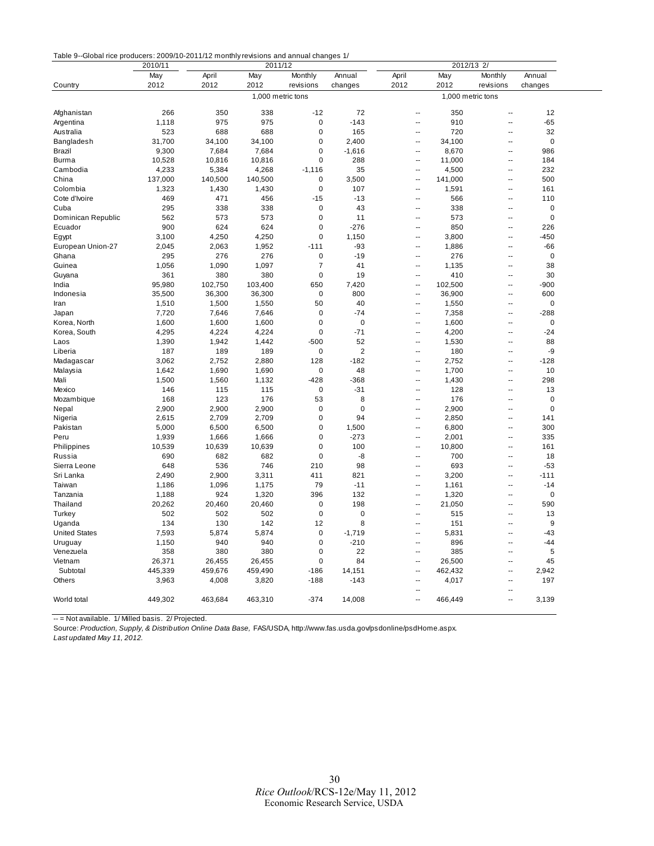<span id="page-29-0"></span>

|                      | 2010/11 | 2011/12 |                   |                |             | 2012/13 2/               |         |                          |             |  |
|----------------------|---------|---------|-------------------|----------------|-------------|--------------------------|---------|--------------------------|-------------|--|
|                      | May     | April   | May               | Monthly        | Annual      | April                    | May     | Monthly                  | Annual      |  |
| Country              | 2012    | 2012    | 2012              | revisions      | changes     | 2012                     | 2012    | revisions                | changes     |  |
|                      |         |         | 1,000 metric tons |                |             | 1,000 metric tons        |         |                          |             |  |
|                      |         |         |                   |                |             |                          |         |                          |             |  |
| Afghanistan          | 266     | 350     | 338               | $-12$          | 72          | $\overline{\phantom{a}}$ | 350     | $\sim$                   | 12          |  |
| Argentina            | 1,118   | 975     | 975               | $\mathbf 0$    | $-143$      | $\overline{\phantom{a}}$ | 910     | $\overline{\phantom{a}}$ | $-65$       |  |
| Australia            | 523     | 688     | 688               | $\pmb{0}$      | 165         | $\sim$                   | 720     | ä.                       | 32          |  |
| Bangladesh           | 31,700  | 34,100  | 34,100            | 0              | 2,400       | $\overline{\phantom{a}}$ | 34,100  | ä.                       | $\mathbf 0$ |  |
| Brazil               | 9,300   | 7,684   | 7,684             | 0              | $-1,616$    | $\ddotsc$                | 8,670   | $\overline{a}$           | 986         |  |
| Burma                | 10,528  | 10,816  | 10,816            | 0              | 288         | μ.                       | 11,000  | $\overline{\phantom{a}}$ | 184         |  |
| Cambodia             | 4,233   | 5,384   | 4,268             | $-1,116$       | 35          | $\ddotsc$                | 4,500   | $\sim$                   | 232         |  |
| China                | 137,000 | 140,500 | 140,500           | $\mathbf 0$    | 3,500       | Ξ.                       | 141,000 | Ξ.                       | 500         |  |
| Colombia             | 1,323   | 1,430   | 1,430             | $\mathbf 0$    | 107         | Ξ.                       | 1,591   | Ξ.                       | 161         |  |
| Cote d'Ivoire        | 469     | 471     | 456               | $-15$          | $-13$       | Ξ.                       | 566     | $\sim$                   | 110         |  |
| Cuba                 | 295     | 338     | 338               | $\pmb{0}$      | 43          | $\overline{a}$           | 338     | $\overline{a}$           | 0           |  |
| Dominican Republic   | 562     | 573     | 573               | $\mathbf 0$    | 11          | $\sim$                   | 573     | $\sim$                   | $\mathbf 0$ |  |
| Ecuador              | 900     | 624     | 624               | $\pmb{0}$      | $-276$      | $\ddotsc$                | 850     | $\sim$                   | 226         |  |
| Egypt                | 3,100   | 4,250   | 4,250             | $\mathbf 0$    | 1,150       | ÷.                       | 3,800   | Ξ.                       | $-450$      |  |
| European Union-27    | 2,045   | 2,063   | 1,952             | $-111$         | $-93$       | $\ddotsc$                | 1,886   | Ξ.                       | $-66$       |  |
| Ghana                | 295     | 276     | 276               | 0              | $-19$       | $\overline{\phantom{a}}$ | 276     | $\overline{\phantom{a}}$ | $\mathbf 0$ |  |
| Guinea               | 1,056   | 1,090   | 1,097             | $\overline{7}$ | 41          | $\sim$                   | 1,135   | $\sim$ $\sim$            | 38          |  |
| Guyana               | 361     | 380     | 380               | $\mathbf 0$    | 19          | $\overline{\phantom{a}}$ | 410     | $\overline{a}$           | 30          |  |
| India                | 95,980  | 102,750 | 103,400           | 650            | 7,420       | Ξ.                       | 102,500 | $\overline{\phantom{a}}$ | $-900$      |  |
| Indonesia            | 35,500  | 36,300  | 36,300            | $\mathbf 0$    | 800         | $\overline{\phantom{a}}$ | 36,900  | $\sim$                   | 600         |  |
| Iran                 | 1,510   | 1,500   | 1,550             | 50             | 40          | $\overline{\phantom{a}}$ | 1,550   | $\overline{a}$           | 0           |  |
| Japan                | 7,720   | 7,646   | 7,646             | 0              | $-74$       | $\overline{\phantom{a}}$ | 7,358   | $\sim$                   | $-288$      |  |
| Korea, North         | 1,600   | 1,600   | 1,600             | 0              | $\bf 0$     | $\overline{\phantom{a}}$ | 1,600   | $\sim$                   | $\mathbf 0$ |  |
| Korea, South         | 4,295   | 4,224   | 4,224             | $\mathbf 0$    | $-71$       | $\sim$                   | 4,200   | $\sim$                   | $-24$       |  |
| Laos                 | 1,390   | 1,942   | 1,442             | $-500$         | 52          | Ξ.                       | 1,530   | Ξ.                       | 88          |  |
| Liberia              | 187     | 189     | 189               | 0              | $\mathbf 2$ | $\overline{\phantom{a}}$ | 180     | $\overline{\phantom{a}}$ | -9          |  |
| Madagascar           | 3,062   | 2,752   | 2,880             | 128            | $-182$      | $\overline{\phantom{a}}$ | 2,752   | $\sim$                   | $-128$      |  |
| Malaysia             | 1,642   | 1,690   | 1,690             | 0              | 48          | $\overline{\phantom{a}}$ | 1,700   | $\overline{a}$           | 10          |  |
| Mali                 | 1,500   | 1,560   | 1,132             | $-428$         | $-368$      | $\overline{\phantom{a}}$ | 1,430   | $\sim$                   | 298         |  |
| Mexico               | 146     | 115     | 115               | $\mathbf 0$    | $-31$       | $\sim$                   | 128     | $\overline{\phantom{a}}$ | 13          |  |
| Mozambique           | 168     | 123     | 176               | 53             | 8           | $\overline{\phantom{a}}$ | 176     | ä.                       | $\mathbf 0$ |  |
| Nepal                | 2,900   | 2,900   | 2,900             | $\pmb{0}$      | $\mathbf 0$ | $\ddotsc$                | 2,900   | $\sim$                   | $\mathbf 0$ |  |
| Nigeria              | 2,615   | 2,709   | 2,709             | $\pmb{0}$      | 94          | $\ddotsc$                | 2,850   | $\overline{\phantom{a}}$ | 141         |  |
| Pakistan             | 5,000   | 6,500   | 6,500             | 0              | 1,500       | $\sim$                   | 6,800   | $\sim$                   | 300         |  |
| Peru                 | 1,939   | 1,666   | 1,666             | 0              | $-273$      | $\overline{\phantom{a}}$ | 2,001   | $\overline{a}$           | 335         |  |
| Philippines          | 10,539  | 10,639  | 10,639            | $\mathbf 0$    | 100         | $\overline{\phantom{a}}$ | 10,800  | Ξ.                       | 161         |  |
| Russia               | 690     | 682     | 682               | 0              | -8          | $\overline{\phantom{a}}$ | 700     | $\overline{a}$           | 18          |  |
| Sierra Leone         | 648     | 536     | 746               | 210            | 98          | $\overline{a}$           | 693     | $\overline{a}$           | $-53$       |  |
| Sri Lanka            | 2,490   | 2,900   | 3,311             | 411            | 821         | $\sim$                   | 3,200   | $\sim$                   | $-111$      |  |
| Taiwan               | 1,186   | 1,096   | 1,175             | 79             | $-11$       | $\overline{\phantom{a}}$ | 1,161   | $\sim$                   | $-14$       |  |
| Tanzania             | 1,188   | 924     | 1,320             | 396            | 132         | $\ddotsc$                | 1,320   | ÷.                       | $\mathbf 0$ |  |
| Thailand             | 20,262  | 20,460  | 20,460            | 0              | 198         | $\ddotsc$                | 21,050  | Ξ.                       | 590         |  |
| Turkey               | 502     | 502     | 502               | $\mathbf 0$    | $\mathbf 0$ | $\overline{\phantom{a}}$ | 515     | $\overline{\phantom{a}}$ | 13          |  |
| Uganda               | 134     | 130     | 142               | 12             | 8           | $\sim$                   | 151     | $\sim$                   | 9           |  |
| <b>United States</b> | 7,593   | 5,874   | 5,874             | $\pmb{0}$      | $-1,719$    | $\overline{a}$           | 5,831   | $\overline{a}$           | $-43$       |  |
| Uruguay              | 1,150   | 940     | 940               | $\mathbf 0$    | $-210$      | $\overline{\phantom{a}}$ | 896     | $\sim$                   | -44         |  |
| Venezuela            | 358     | 380     | 380               | 0              | 22          | $\overline{\phantom{a}}$ | 385     | ä.                       | 5           |  |
| Vietnam              | 26,371  | 26,455  | 26,455            | 0              | 84          | $\overline{\phantom{a}}$ | 26,500  | $\overline{a}$           | 45          |  |
| Subtotal             | 445,339 | 459,676 | 459,490           | $-186$         | 14,151      | $\sim$                   | 462,432 | ä.                       | 2,942       |  |
| Others               | 3,963   | 4,008   | 3,820             | $-188$         | $-143$      | $\overline{\phantom{a}}$ | 4,017   | $\sim$                   | 197         |  |
|                      |         |         |                   |                |             | $\sim$                   |         | $\overline{a}$           |             |  |
| World total          | 449,302 | 463,684 | 463,310           | $-374$         | 14,008      | $\sim$                   | 466,449 | $\sim$                   | 3,139       |  |
|                      |         |         |                   |                |             |                          |         |                          |             |  |

-- = Not available. 1/ Milled basis. 2/ Projected.

Source: *Production, Supply, & Distribution Online Data Base,* FAS/USDA, http://www.fas.usda.gov/psdonline/psdHome.aspx. *Last updated May 11, 2012.*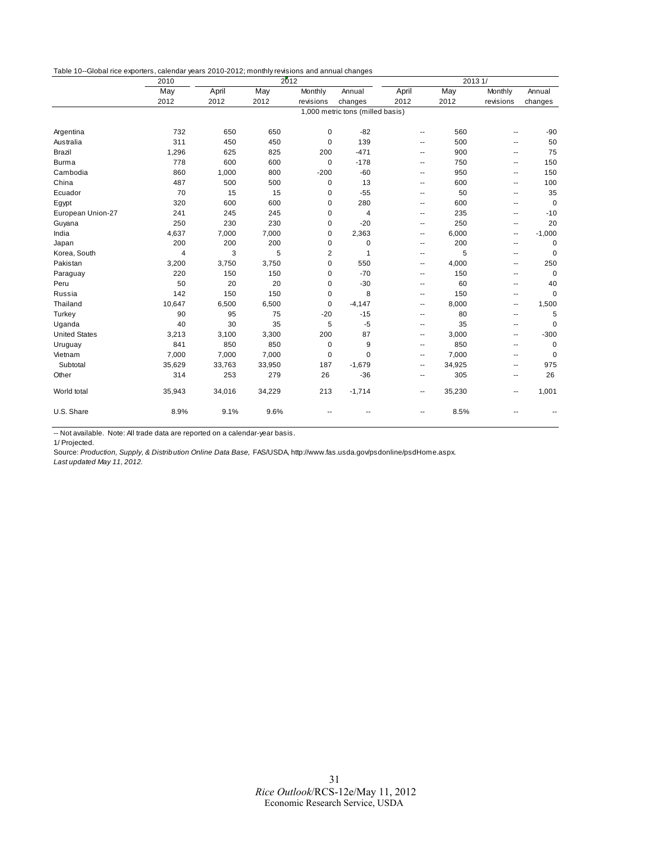<span id="page-30-0"></span>Table 10--Global rice exporters, calendar years 2010-2012; monthly revisions and annual changes

|                      | 2010           | 2012   |        |                |                                  | 2013 1/                  |        |                          |             |
|----------------------|----------------|--------|--------|----------------|----------------------------------|--------------------------|--------|--------------------------|-------------|
|                      | May            | April  | May    | Monthly        | Annual                           | April                    | May    | Monthly                  | Annual      |
|                      | 2012           | 2012   | 2012   | revisions      | changes                          | 2012                     | 2012   | revisions                | changes     |
|                      |                |        |        |                | 1,000 metric tons (milled basis) |                          |        |                          |             |
| Argentina            | 732            | 650    | 650    | 0              | $-82$                            | ۰.                       | 560    | ۰.                       | $-90$       |
| Australia            | 311            | 450    | 450    | $\mathbf 0$    | 139                              | ۰.                       | 500    | ٠.                       | 50          |
| Brazil               | 1,296          | 625    | 825    | 200            | $-471$                           | ۰.                       | 900    | ۰.                       | 75          |
| <b>Burma</b>         | 778            | 600    | 600    | $\mathbf 0$    | $-178$                           | ۰.                       | 750    | ٠.                       | 150         |
| Cambodia             | 860            | 1,000  | 800    | $-200$         | $-60$                            | --                       | 950    | ۰.                       | 150         |
| China                | 487            | 500    | 500    | $\mathbf 0$    | 13                               | ۰.                       | 600    | ٠.                       | 100         |
| Ecuador              | 70             | 15     | 15     | $\mathbf 0$    | $-55$                            | --                       | 50     | ٠.                       | 35          |
| Egypt                | 320            | 600    | 600    | $\mathbf 0$    | 280                              | ۰.                       | 600    | $\sim$                   | $\mathbf 0$ |
| European Union-27    | 241            | 245    | 245    | $\mathbf 0$    | $\overline{4}$                   | --                       | 235    | ۰.                       | $-10$       |
| Guyana               | 250            | 230    | 230    | $\mathbf 0$    | $-20$                            | $\overline{\phantom{a}}$ | 250    | ۰.                       | 20          |
| India                | 4,637          | 7,000  | 7,000  | 0              | 2,363                            | --                       | 6,000  | ۰.                       | $-1,000$    |
| Japan                | 200            | 200    | 200    | $\mathbf 0$    | $\mathbf 0$                      | --                       | 200    | ۰.                       | $\mathbf 0$ |
| Korea, South         | $\overline{4}$ | 3      | 5      | $\overline{c}$ | $\mathbf{1}$                     | ۰.                       | 5      | ۰.                       | $\mathbf 0$ |
| Pakistan             | 3,200          | 3,750  | 3,750  | $\mathbf 0$    | 550                              | --                       | 4,000  | ۰.                       | 250         |
| Paraguay             | 220            | 150    | 150    | $\mathbf 0$    | $-70$                            | $\overline{a}$           | 150    | $\overline{\phantom{a}}$ | $\mathbf 0$ |
| Peru                 | 50             | 20     | 20     | $\mathbf 0$    | $-30$                            | --                       | 60     | ۰.                       | 40          |
| Russia               | 142            | 150    | 150    | 0              | 8                                | --                       | 150    | $\overline{\phantom{a}}$ | $\mathbf 0$ |
| Thailand             | 10,647         | 6,500  | 6,500  | $\mathbf 0$    | $-4.147$                         | --                       | 8,000  | ۰.                       | 1,500       |
| Turkey               | 90             | 95     | 75     | $-20$          | $-15$                            | ۰.                       | 80     | ۰.                       | 5           |
| Uganda               | 40             | 30     | 35     | 5              | $-5$                             | $\overline{\phantom{a}}$ | 35     | ۰.                       | $\mathbf 0$ |
| <b>United States</b> | 3,213          | 3,100  | 3,300  | 200            | 87                               | ۰.                       | 3,000  | ۰.                       | $-300$      |
| Uruguay              | 841            | 850    | 850    | 0              | 9                                | --                       | 850    | ۰.                       | $\mathbf 0$ |
| Vietnam              | 7,000          | 7,000  | 7,000  | $\pmb{0}$      | 0                                | ۰.                       | 7,000  | $\overline{\phantom{a}}$ | $\mathbf 0$ |
| Subtotal             | 35,629         | 33,763 | 33,950 | 187            | $-1,679$                         | --                       | 34,925 | ۰.                       | 975         |
| Other                | 314            | 253    | 279    | 26             | $-36$                            | --                       | 305    | ۰.                       | 26          |
| World total          | 35,943         | 34,016 | 34,229 | 213            | $-1,714$                         | ۰.                       | 35,230 | ۰.                       | 1,001       |
| U.S. Share           | 8.9%           | 9.1%   | 9.6%   |                |                                  | ٠.                       | 8.5%   |                          |             |

-- Not available. Note: All trade data are reported on a calendar-year basis.

1/ Projected.

Source: *Production, Supply, & Distribution Online Data Base,* FAS/USDA, http://www.fas.usda.gov/psdonline/psdHome.aspx. *Last updated May 11, 2012.*